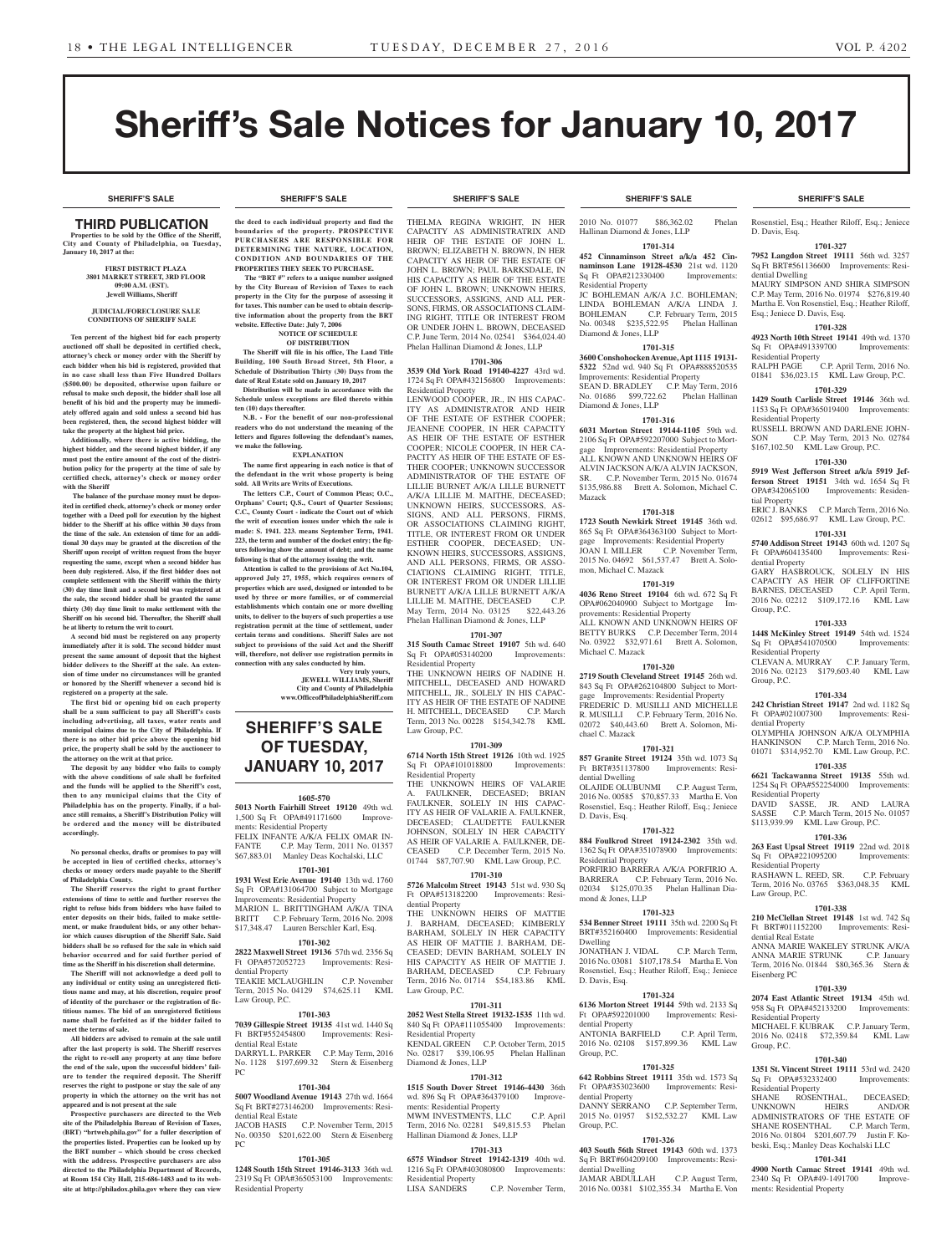**SHERIFF'S SALE SHERIFF'S SALE SHERIFF'S SALE SHERIFF'S SALE SHERIFF'S SALE**

# Sheriff's Sale Notices for January 10, 2017

# THIRD PUBLICATION

**Properties to be sold by the Office of the Sheriff, City and County of Philadelphia, on Tuesday, January 10, 2017 at the:** 

#### **FIRST DISTRICT PLAZA 3801 MARKET STREET, 3RD FLOOR 09:00 A.M. (EST). Jewell Williams, Sheriff**

#### **JUDICIAL/FORECLOSURE SALE CONDITIONS OF SHERIFF SALE**

**Ten percent of the highest bid for each property auctioned off shall be deposited in certified check, attorney's check or money order with the Sheriff by each bidder when his bid is registered, provided that in no case shall less than Five Hundred Dollars (\$500.00) be deposited, otherwise upon failure or refusal to make such deposit, the bidder shall lose all benefit of his bid and the property may be immediately offered again and sold unless a second bid has been registered, then, the second highest bidder will take the property at the highest bid price.**

**Additionally, where there is active bidding, the highest bidder, and the second highest bidder, if any must post the entire amount of the cost of the distribution policy for the property at the time of sale by certified check, attorney's check or money order with the Sheriff**

 **The balance of the purchase money must be deposited in certified check, attorney's check or money order together with a Deed poll for execution by the highest bidder to the Sheriff at his office within 30 days from the time of the sale. An extension of time for an additional 30 days may be granted at the discretion of the Sheriff upon receipt of written request from the buyer requesting the same, except when a second bidder has been duly registered. Also, if the first bidder does not complete settlement with the Sheriff within the thirty (30) day time limit and a second bid was registered at the sale, the second bidder shall be granted the same thirty (30) day time limit to make settlement with the Sheriff on his second bid. Thereafter, the Sheriff shall be at liberty to return the writ to court.**

**A second bid must be registered on any property immediately after it is sold. The second bidder must present the same amount of deposit that the highest bidder delivers to the Sheriff at the sale. An extension of time under no circumstances will be granted or honored by the Sheriff whenever a second bid is registered on a property at the sale.** 

**The first bid or opening bid on each property shall be a sum sufficient to pay all Sheriff's costs including advertising, all taxes, water rents and municipal claims due to the City of Philadelphia. If there is no other bid price above the opening bid price, the property shall be sold by the auctioneer to the attorney on the writ at that price.**

**The deposit by any bidder who fails to comply with the above conditions of sale shall be forfeited and the funds will be applied to the Sheriff's cost, then to any municipal claims that the City of Philadelphia has on the property. Finally, if a balance still remains, a Sheriff's Distribution Policy will be ordered and the money will be distributed accordingly.**

#### **No personal checks, drafts or promises to pay will be accepted in lieu of certified checks, attorney's checks or money orders made payable to the Sheriff of Philadelphia County.**

**The Sheriff reserves the right to grant further extensions of time to settle and further reserves the right to refuse bids from bidders who have failed to enter deposits on their bids, failed to make settlement, or make fraudulent bids, or any other behavior which causes disruption of the Sheriff Sale. Said bidders shall be so refused for the sale in which said behavior occurred and for said further period of time as the Sheriff in his discretion shall determine.**

**The Sheriff will not acknowledge a deed poll to any individual or entity using an unregistered fictitious name and may, at his discretion, require proof of identity of the purchaser or the registration of fictitious names. The bid of an unregistered fictitious name shall be forfeited as if the bidder failed to meet the terms of sale.**

**All bidders are advised to remain at the sale until after the last property is sold. The Sheriff reserves the right to re-sell any property at any time before the end of the sale, upon the successful bidders' failure to tender the required deposit. The Sheriff reserves the right to postpone or stay the sale of any property in which the attorney on the writ has not appeared and is not present at the sale**

**Prospective purchasers are directed to the Web site of the Philadelphia Bureau of Revision of Taxes, (BRT) "brtweb.phila.gov" for a fuller description of the properties listed. Properties can be looked up by the BRT number – which should be cross checked with the address. Prospective purchasers are also directed to the Philadelphia Department of Records, at Room 154 City Hall, 215-686-1483 and to its website at http://philadox.phila.gov where they can view** 

**the deed to each individual property and find the boundaries of the property. PROSPECTIVE PURCHASERS ARE RESPONSIBLE FOR DETERMINING THE NATURE, LOCATION, CONDITION AND BOUNDARIES OF THE PROPERTIES THEY SEEK TO PURCHASE.**

 **The "BRT #" refers to a unique number assigned by the City Bureau of Revision of Taxes to each property in the City for the purpose of assessing it for taxes. This number can be used to obtain descriptive information about the property from the BRT website. Effective Date: July 7, 2006 NOTICE OF SCHEDULE** 

#### **OF DISTRIBUTION**

**The Sheriff will file in his office, The Land Title Building, 100 South Broad Street, 5th Floor, a Schedule of Distribution Thirty (30) Days from the date of Real Estate sold on January 10, 2017 Distribution will be made in accordance with the** 

**Schedule unless exceptions are filed thereto within ten (10) days thereafter. N.B. - For the benefit of our non-professional** 

**readers who do not understand the meaning of the letters and figures following the defendant's names, we make the following. EXPLANATION**

**The name first appearing in each notice is that of the defendant in the writ whose property is being** 

**sold. All Writs are Writs of Executions. The letters C.P., Court of Common Pleas; O.C., Orphans' Court; Q.S., Court of Quarter Sessions; C.C., County Court - indicate the Court out of which the writ of execution issues under which the sale is made: S. 1941. 223. means September Term, 1941. 223, the term and number of the docket entry; the figures following show the amount of debt; and the name following is that of the attorney issuing the writ.**

**Attention is called to the provisions of Act No.104, approved July 27, 1955, which requires owners of properties which are used, designed or intended to be used by three or more families, or of commercial establishments which contain one or more dwelling units, to deliver to the buyers of such properties a use registration permit at the time of settlement, under certain terms and conditions. Sheriff Sales are not subject to provisions of the said Act and the Sheriff will, therefore, not deliver use registration permits in** 

**connection with any sales conducted by him. Very truly yours, JEWELL WILLIAMS, Sheriff City and County of Philadelphia www.OfficeofPhiladelphiaSheriff.com**

# **SHERIFF'S SALE OF TUESDAY, JANUARY 10, 2017**

#### **1605-570**

**5013 North Fairhill Street 19120** 49th wd. 1,500 Sq Ft OPA#491171600 ments: Residential Property FELIX INFANTE A/K/A FELIX OMAR IN-FANTE C.P. May Term, 2011 No. 01357 \$67,883.01 Manley Deas Kochalski, LLC

# **1701-301**

**1931 West Erie Avenue 19140** 13th wd. 1760 Sq Ft OPA#131064700 Subject to Mortgage Improvements: Residential Property MARION L. BRITTINGHAM A/K/A TINA BRITT C.P. February Term, 2016 No. 2098 \$17,348.47 Lauren Berschler Karl, Esq.

#### **1701-302**

**2822 Maxwell Street 19136** 57th wd. 2356 Sq Ft OPA#572052723 Improvements: Residential Property TEAKIE MCLAUGHLIN C.P. November

# Term, 2015 No. 04129 \$74,625.11 KML Law Group, P.C. **1701-303 7039 Gillespie Street 19135** 41st wd. 1440 Sq

Ft BRT#552454800 Improvements: Residential Real Estate DARRYL L. PARKER C.P. May Term, 2016 No. 1128 \$197,699.32 Stern & Eisenberg PC

#### **1701-304**

**5007 Woodland Avenue 19143** 27th wd. 1664 Sq Ft BRT#273146200 Improvements: Residential Real Estate JACOB HASIS C.P. November Term, 2015

No. 00350 \$201,622.00 Stern & Eisenberg PC

### **1701-305**

**1248 South 15th Street 19146-3133** 36th wd. 2319 Sq Ft OPA#365053100 Improvements: Residential Property

THELMA REGINA WRIGHT, IN HER CAPACITY AS ADMINISTRATRIX AND HEIR OF THE ESTATE OF JOHN L. BROWN; ELIZABETH N. BROWN, IN HER CAPACITY AS HEIR OF THE ESTATE OF JOHN L. BROWN; PAUL BARKSDALE, IN HIS CAPACITY AS HEIR OF THE ESTATE OF JOHN L. BROWN; UNKNOWN HEIRS, SUCCESSORS, ASSIGNS, AND ALL PER-SONS, FIRMS, OR ASSOCIATIONS CLAIM-ING RIGHT, TITLE OR INTEREST FROM OR UNDER JOHN L. BROWN, DECEASED C.P. June Term, 2014 No. 02541 \$364,024.40 Phelan Hallinan Diamond & Jones, LLP

# **1701-306**

**3539 Old York Road 19140-4227** 43rd wd. 1724 Sq Ft OPA#432156800 Improvements: Residential Property

LENWOOD COOPER, JR., IN HIS CAPAC-ITY AS ADMINISTRATOR AND HEIR OF THE ESTATE OF ESTHER COOPER; JEANENE COOPER, IN HER CAPACITY AS HEIR OF THE ESTATE OF ESTHER COOPER; NICOLE COOPER, IN HER CA-PACITY AS HEIR OF THE ESTATE OF ES-THER COOPER; UNKNOWN SUCCESSOR ADMINISTRATOR OF THE ESTATE OF LILLIE BURNET A/K/A LILLE BURNETT A/K/A LILLIE M. MAITHE, DECEASED; UNKNOWN HEIRS, SUCCESSORS, AS-SIGNS, AND ALL PERSONS, FIRMS, OR ASSOCIATIONS CLAIMING RIGHT, TITLE, OR INTEREST FROM OR UNDER ESTHER COOPER, DECEASED; UN-KNOWN HEIRS, SUCCESSORS, ASSIGNS, AND ALL PERSONS, FIRMS, OR ASSO-CIATIONS CLAIMING RIGHT, TITLE, OR INTEREST FROM OR UNDER LILLIE BURNETT A/K/A LILLE BURNETT A/K/A LILLIE M. MAITHE, DECEASED C.P. May Term, 2014 No. 03125 \$22,443.26 Phelan Hallinan Diamond & Jones, LLP

# **1701-307**

**315 South Camac Street 19107** 5th wd. 640 Sq Ft OPA#053140200 Improvements: Residential Property

THE UNKNOWN HEIRS OF NADINE H. MITCHELL, DECEASED AND HOWARD MITCHELL, JR., SOLELY IN HIS CAPAC-ITY AS HEIR OF THE ESTATE OF NADINE H. MITCHELL, DECEASED C.P. March Term, 2013 No. 00228 \$154,342.78 KML Law Group, P.C.

# **1701-309**

**6714 North 15th Street 19126** 10th wd. 1925 Sq Ft OPA#101018800 Improvements: Residential Property

THE UNKNOWN HEIRS OF VALARIE FAULKNER, DECEASED; BRIAN FAULKNER, SOLELY IN HIS CAPAC-ITY AS HEIR OF VALARIE A. FAULKNER, DECEASED; CLAUDETTE FAULKNER JOHNSON, SOLELY IN HER CAPACITY AS HEIR OF VALARIE A. FAULKNER, DE-CEASED C.P. December Term, 2015 No. 01744 \$87,707.90 KML Law Group, P.C.

#### **1701-310**

**5726 Malcolm Street 19143** 51st wd. 930 Sq Ft OPA#513182200 Improvements: Residential Property

THE UNKNOWN HEIRS OF MATTIE J. BARHAM, DECEASED; KIMBERLY BARHAM, SOLELY IN HER CAPACITY AS HEIR OF MATTIE J. BARHAM, DE-CEASED; DEVIN BARHAM, SOLELY IN HIS CAPACITY AS HEIR OF MATTIE J.<br>BARHAM, DECEASED C.P. February BARHAM, DECEASED Term, 2016 No. 01714 \$54,183.86 KML Law Group, P.C.

#### **1701-311**

**2052 West Stella Street 19132-1535** 11th wd. 840 Sq Ft OPA#111055400 Improvements: Residential Property KENDAL GREEN C.P. October Term No. 02817 \$39,106.95 Phelan Hallinan Diamond & Jones, LLP

#### **1701-312**

**1515 South Dover Street 19146-4430** 36th wd. 896 Sq Ft OPA#364379100 Improvements: Residential Property MWM INVESTMENTS, LLC C.P. April Term, 2016 No. 02281 \$49,815.53 Phelan Hallinan Diamond & Jones, LLP

# **1701-313**

**6575 Windsor Street 19142-1319** 40th wd. 1216 Sq Ft OPA#403080800 Improvements: Residential Property<br>LISA SANDERS

C.P. November Term,

2010 No. 01077 \$86,362.02 Phelan Hallinan Diamond & Jones, LLP

# **1701-314 452 Cinnaminson Street a/k/a 452 Cin-**

**naminson Lane 19128-4530** 21st wd. 1120 Sq Ft OPA#212330400 Improvements: Residential Property JC BOHLEMAN A/K/A J.C. BOHLEMAN;

LINDA BOHLEMAN A/K/A LINDA J. C.P. February Term, 2015 No. 00348 \$235,522.95 Phelan Hallinan Diamond & Jones, LLP

# **1701-315**

**3600 Conshohocken Avenue, Apt 1115 19131- 5322** 52nd wd. 940 Sq Ft OPA#888520535 Improvements: Residential Property SEAN D. BRADLEY C.P. May Term, 2016 No. 01686 \$99,722.62 Phelan Hallinan Diamond & Jones, LLP

#### **1701-316**

**6031 Morton Street 19144-1105** 59th wd. 2106 Sq Ft OPA#592207000 Subject to Mortgage Improvements: Residential Property ALL KNOWN AND UNKNOWN HEIRS OF ALVIN JACKSON A/K/A ALVIN JACKSON, SR. C.P. November Term, 2015 No. 01674 \$135,986.88 Brett A. Solomon, Michael C. Mazack

# **1701-318**

**1723 South Newkirk Street 19145** 36th wd. 865 Sq Ft OPA#364363100 Subject to Mortgage Improvements: Residential Property<br>JOAN I. MILLER C.P. November Te C.P. November Term, 2015 No. 04692 \$61,537.47 Brett A. Solomon, Michael C. Mazack

# **1701-319**

**4036 Reno Street 19104** 6th wd. 672 Sq Ft OPA#062040900 Subject to Mortgage Improvements: Residential Property ALL KNOWN AND UNKNOWN HEIRS OF BETTY BURKS C.P. December Term, 2014 No. 03922 \$32,971.61 Brett A. Solomon, Michael C. Mazack

#### **1701-320**

**2719 South Cleveland Street 19145** 26th wd. 843 Sq Ft OPA#262104800 Subject to Mortgage Improvements: Residential Property FREDERIC D. MUSILLI AND MICHELLE R. MUSILLI C.P. February Term, 2016 No. 02072 \$40,443.60 Brett A. Solomon, Michael C. Mazack

### **1701-321**

**857 Granite Street 19124** 35th wd. 1073 Sq<br>Ft BRT#351137800 Improvements: Resi-Improvements: Residential Dwelling

OLAJIDE OLUBUNMI C.P. August Term, 2016 No. 00585 \$70,857.33 Martha E. Von Rosenstiel, Esq.; Heather Riloff, Esq.; Jeniece D. Davis, Esq.

#### **1701-322 884 Foulkrod Street 19124-2302** 35th wd.

1362 Sq Ft OPA#351078900 Improvements: Residential Property PORFIRIO BARRERA A/K/A PORFIRIO A. BARRERA C.P. February Term, 2016 No. 02034 \$125,070.35 Phelan Hallinan Diamond & Jones, LLP

#### **1701-323**

**534 Benner Street 19111** 35th wd. 2200 Sq Ft BRT#352160400 Improvements: Residential Dwelling JONATHAN J. VIDAL C.P. March Term,

2016 No. 03081 \$107,178.54 Martha E. Von Rosenstiel, Esq.; Heather Riloff, Esq.; Jeniece D. Davis, Esq.

# **1701-324**

**6136 Morton Street 19144** 59th wd. 2133 Sq Ft OPA#592201000 Improvements: Residential Property ANTONIA BARFIELD C.P. April Term,<br>2016 No. 02108 \$157 899 36 KML Law 2016 No. 02108 \$157,899.36 KML Law Group, P.C.

#### **1701-325**

**642 Robbins Street 19111** 35th wd. 1573 Sq<br>Ft OPA#353023600 Improvements: Resi-Improvements: Residential Property DANNY SERRANO C.P. September Term,

2015 No. 01957 \$152,532.27 KML Law Group, P.C. **1701-326**

# **403 South 56th Street 19143** 60th wd. 1373

Sq Ft BRT#604209100 Improvements: Residential Dwelling JAMAR ABDULLAH C.P. August Term, 2016 No. 00381 \$102,355.34 Martha E. Von

#### **SHERIFF'S SALE SHERIFF'S SALE SHERIFF'S SALE SHERIFF'S SALE SHERIFF'S SALE**

Rosenstiel, Esq.; Heather Riloff, Esq.; Jeniece D. Davis, Esq.

#### **1701-327**

**7952 Langdon Street 19111** 56th wd. 3257 Sq Ft BRT#561136600 Improvements: Residential Dwelling MAURY SIMPSON AND SHIRA SIMPSON

C.P. May Term, 2016 No. 01974 \$276,819.40 Martha E. Von Rosenstiel, Esq.; Heather Riloff,

**1701-328 4923 North 10th Street 19141** 49th wd. 1370 Sq Ft OPA#491339700 Improvements:

RALPH PAGE C.P. April Term, 2016 No. 01841 \$36,023.15 KML Law Group, P.C. **1701-329 1429 South Carlisle Street 19146** 36th wd. 1153 Sq Ft OPA#365019400 Improvements:

RUSSELL BROWN AND DARLENE JOHN-SON C.P. May Term, 2013 No. 02784 \$167,102.50 KML Law Group, P.C. **1701-330 5919 West Jefferson Street a/k/a 5919 Jefferson Street 19151** 34th wd. 1654 Sq Ft OPA#342065100 Improvements: Residen-

ERIC J. BANKS C.P. March Term, 2016 No. 02612 \$95,686.97 KML Law Group, P.C. **1701-331 5740 Addison Street 19143** 60th wd. 1207 Sq

GARY HASBROUCK, SOLELY IN HIS CAPACITY AS HEIR OF CLIFFORTINE BARNES, DECEASED C.P. April Term, 2016 No. 02212 \$109,172.16 KML Law

**1701-333 1448 McKinley Street 19149** 54th wd. 1524 Sq Ft OPA#541070500 Improvements:

CLEVAN A. MURRAY C.P. January Term, 2016 No. 02123 \$179,603.40 KML Law

**1701-334 242 Christian Street 19147** 2nd wd. 1182 Sq Ft OPA#021007300 Improvements: Resi-

OLYMPHIA JOHNSON A/K/A OLYMPHIA HANKINSON C.P. March Term, 2016 No. 01071 \$314,952.70 KML Law Group, P.C. **1701-335 6621 Tackawanna Street 19135** 55th wd. 1254 Sq Ft OPA#552254000 Improvements:

DAVID SASSE, JR. AND LAURA SASSE C.P. March Term, 2015 No. 01057 \$113,939.99 KML Law Group, P.C. **1701-336 263 East Upsal Street 19119** 22nd wd. 2018 Sq Ft OPA#221095200 Improvements:

RASHAWN L. REED, SR. C.P. February Term, 2016 No. 03765 \$363,048.35 KML

**1701-338 210 McClellan Street 19148** 1st wd. 742 Sq

ANNA MARIE WAKELEY STRUNK A/K/A ANNA MARIE STRUNK C.P. January Term, 2016 No. 01844 \$80,365.36 Stern &

**1701-339 2074 East Atlantic Street 19134** 45th wd. 958 Sq Ft OPA#452133200 Improvements:

MICHAEL F. KURRAK C.P. January Term 2016 No. 02418 \$72,359.84 KML Law

**1701-340 1351 St. Vincent Street 19111** 53rd wd. 2420

SHANE ROSENTHAL, DECEASED;<br>UNKNOWN HEIRS AND/OR UNKNOWN HEIRS AND/OR ADMINISTRATORS OF THE ESTATE OF SHANE ROSENTHAL C.P. March Term, 2016 No. 01804 \$201,607.79 Justin F. Kobeski, Esq.; Manley Deas Kochalski LLC **1701-341 4900 North Camac Street 19141** 49th wd. 2340 Sq Ft OPA#49-1491700 Improve-

Improvements: Residen-

Improvements: Resi-

Esq.; Jeniece D. Davis, Esq.

Residential Property

Residential Property

tial Property

dential Property

Group, P.C.

Group, P.C.

dential Property

Residential Property

Residential Property

Ft BRT#011152200 dential Real Estate

Residential Property

Sq Ft OPA#532332400 Residential Property

ments: Residential Property

Law Group, P.C.

Eisenberg PC

Group, P.C.

Residential Property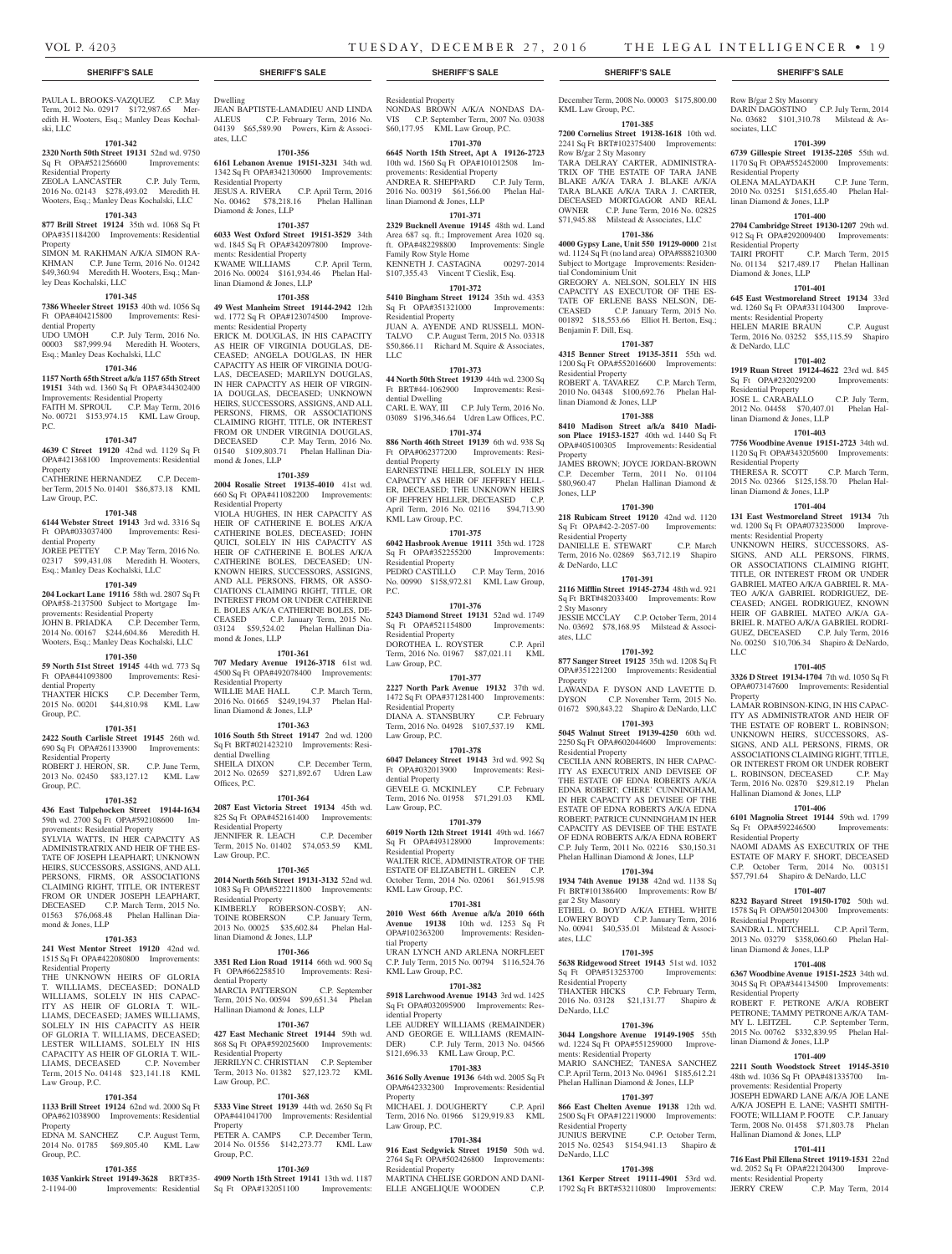Dwelling

ates, LLC

Residential Property<br>JESUS A. RIVERA

Diamond & Jones, LLP

ments: Residential Property

linan Diamond & Jones, LLP

ments: Residential Property

mond & Jones, LLP

Residential Property

JEAN BAPTISTE-LAMADIEU AND LINDA<br>ALEUS C.P. February Term, 2016 No.

04139 \$65,589.90 Powers, Kirn & Associ-

**1701-356 6161 Lebanon Avenue 19151-3231** 34th wd. 1342 Sq Ft OPA#342130600 Improvements:

No. 00462 \$78,218.16 Phelan Hallinan

KWAME WILLIAMS C.P. April Term, 2016 No. 00024 \$161,934.46 Phelan Hal-

**1701-358 49 West Manheim Street 19144-2942** 12th wd. 1772 Sq Ft OPA#123074500 Improve-

ERICK M. DOUGLAS, IN HIS CAPACITY AS HEIR OF VIRGINIA DOUGLAS, DE-CEASED; ANGELA DOUGLAS, IN HER CAPACITY AS HEIR OF VIRGINIA DOUG-LAS, DECEASED; MARILYN DOUGLAS, IN HER CAPACITY AS HEIR OF VIRGIN-IA DOUGLAS, DECEASED; UNKNOWN HEIRS, SUCCESSORS, ASSIGNS, AND ALL PERSONS, FIRMS, OR ASSOCIATIONS CLAIMING RIGHT, TITLE, OR INTEREST FROM OR UNDER VIRGINIA DOUGLAS, DECEASED C.P. May Term, 2016 No. 01540 \$109,803.71 Phelan Hallinan Dia-

**1701-359 2004 Rosalie Street 19135-4010** 41st wd. 660 Sq Ft OPA#411082200 Improvements:

VIOLA HUGHES, IN HER CAPACITY AS HEIR OF CATHERINE E. BOLES A/K/A CATHERINE BOLES, DECEASED; JOHN QUICI, SOLELY IN HIS CAPACITY AS HEIR OF CATHERINE E. BOLES A/K/A CATHERINE BOLES, DECEASED; UN-KNOWN HEIRS, SUCCESSORS, ASSIGNS, AND ALL PERSONS, FIRMS, OR ASSO-CIATIONS CLAIMING RIGHT, TITLE, OR INTEREST FROM OR UNDER CATHERINE E. BOLES A/K/A CATHERINE BOLES, DE-CEASED C.P. January Term, 2015 No. 03124 \$59,524.02 Phelan Hallinan Dia-

**1701-357 6033 West Oxford Street 19151-3529** 34th wd. 1845 Sq Ft OPA#342097800 Improve-

C.P. February Term, 2016 No.

C.P. April Term, 2016

#### PAULA L. BROOKS-VAZOUEZ C.P. May Term, 2012 No. 02917 \$172,987.65 Meredith H. Wooters, Esq.; Manley Deas Kochalski, LLC

### **1701-342**

**2320 North 50th Street 19131** 52nd wd. 9750 Sq Ft OPA#521256600 Improvements: Residential Property

ZEOLA LANCASTER C.P. July Term, 2016 No. 02143 \$278,493.02 Meredith H. Wooters, Esq.; Manley Deas Kochalski, LLC

#### **1701-343**

**877 Brill Street 19124** 35th wd. 1068 Sq Ft OPA#351184200 Improvements: Residential Property

SIMON M. RAKHMAN A/K/A SIMON RA-KHMAN C.P. June Term, 2016 No. 01242 \$49,360.94 Meredith H. Wooters, Esq.; Manley Deas Kochalski, LLC

#### **1701-345**

**7386 Wheeler Street 19153** 40th wd. 1056 Sq Ft OPA#404215800 Improvements: Resi-

dential Property C.P. July Term, 2016 No. 00003 \$87,999.94 Meredith H. Wooters, Esq.; Manley Deas Kochalski, LLC

## **1701-346**

**1157 North 65th Street a/k/a 1157 65th Street 19151** 34th wd. 1360 Sq Ft OPA#344302400 Improvements: Residential Property FAITH M. SPROUL C.P. May Term, 2016 No. 00721 \$153,974.15 KML Law Group, P.C.

#### **1701-347**

**4639 C Street 19120** 42nd wd. 1129 Sq Ft OPA#421368100 Improvements: Residential Property

CATHERINE HERNANDEZ C.P. December Term, 2015 No. 01401 \$86,873.18 KML Law Group, P.C.

#### **1701-348**

#### **6144 Webster Street 19143** 3rd wd. 3316 Sq Ft OPA#033037400 Improvements: Resi-

dential Property JOREE PETTEY C.P. May Term, 2016 No. 02317 \$99,431.08 Meredith H. Wooters, Esq.; Manley Deas Kochalski, LLC

#### **1701-349**

#### **204 Lockart Lane 19116** 58th wd. 2807 Sq Ft OPA#58-2137500 Subject to Mortgage Improvements: Residential Property JOHN B. PRIADKA C.P. December Term,

2014 No. 00167 \$244,604.86 Meredith H. Wooters, Esq.; Manley Deas Kochalski, LLC **1701-350**

**1701-351 2422 South Carlisle Street 19145** 26th wd. 690 Sq Ft OPA#261133900 Improvements:

ROBERT J. HERON, SR. C.P. June Term, 2013 No. 02450 \$83,127.12 KML Law

**1701-352 436 East Tulpehocken Street 19144-1634**  59th wd. 2700 Sq Ft OPA#592108600 Im-

SYLVIA WATTS, IN HER CAPACITY AS ADMINISTRATRIX AND HEIR OF THE ES-TATE OF JOSEPH LEAPHART; UNKNOWN HEIRS, SUCCESSORS, ASSIGNS, AND ALL PERSONS, FIRMS, OR ASSOCIATIONS CLAIMING RIGHT, TITLE, OR INTEREST FROM OR UNDER JOSEPH LEAPHART, DECEASED C.P. March Term, 2015 No. 01563 \$76,068.48 Phelan Hallinan Dia-

**1701-353 241 West Mentor Street 19120** 42nd wd. 1515 Sq Ft OPA#422080800 Improvements:

THE UNKNOWN HEIRS OF GLORIA T. WILLIAMS, DECEASED; DONALD WILLIAMS, SOLELY IN HIS CAPAC-ITY AS HEIR OF GLORIA T. WIL-LIAMS, DECEASED; JAMES WILLIAMS, SOLELY IN HIS CAPACITY AS HEIR OF GLORIA T. WILLIAMS, DECEASED;

CAPACITY AS HEIR OF GLORIA T. WIL-LIAMS, DECEASED C.P. November Term, 2015 No. 04148 \$23,141.18 KML

**1701-354 1133 Brill Street 19124** 62nd wd. 2000 Sq Ft OPA#621038900 Improvements: Residential

EDNA M. SANCHEZ C.P. August Term, 2014 No. 01785 \$69,805.40 KML Law

**1701-355 1035 Vankirk Street 19149-3628** BRT#35-<br>2-1194-00 Improvements: Residential

Improvements: Residential

**SOLELY** 

provements: Residential Property

# **59 North 51st Street 19145** 44th wd. 773 Sq

dential Property

Residential Property

mond & Jones, LLP

Residential Property

Law Group, P.C.

Property

Group, P.C.

Group, P.C.

Group, P.C.

#### Ft OPA#441093800 Improvements: Resi-THAXTER HICKS C.P. December Term, 2015 No. 00201 \$44,810.98 KML Law **707 Medary Avenue 19126-3718** 61st wd. 4500 Sq Ft OPA#492078400 Improvements: Residential Property WILLIE MAE HALL C.P. March Term. 2016 No. 01665 \$249,194.37 Phelan Hallinan Diamond & Jones, LLP

mond & Jones, LLP

# **1701-363**

**1016 South 5th Street 19147** 2nd wd. 1200 Sq Ft BRT#021423210 Improvements: Residential Dwelling SHEILA DIXON C.P. December Term, 2012 No. 02659 \$271,892.67 Udren Law Offices, P.C.

**1701-361**

**1701-364**

**2087 East Victoria Street 19134** 45th wd. 825 Sq Ft OPA#452161400 Improvements: Residential Property JENNIFER R. LEACH C.P. December Term, 2015 No. 01402 \$74,053.59 KML Law Group, P.C.

#### **1701-365**

**2014 North 56th Street 19131-3132** 52nd wd. 1083 Sq Ft OPA#522211800 Improvements: Residential Property KIMBERLY ROBERSON-COSBY; AN-TOINE ROBERSON C.P. January Term, 2013 No. 00025 \$35,602.84 Phelan Hallinan Diamond & Jones, LLP

### **1701-366**

**3351 Red Lion Road 19114** 66th wd. 900 Sq Ft OPA#662258510 Improvements: Residential Property

MARCIA PATTERSON C.P. September Term, 2015 No. 00594 \$99,651.34 Phelan Hallinan Diamond & Jones, LLP

# **1701-367**

**427 East Mechanic Street 19144** 59th wd. 868 Sq Ft OPA#592025600 Improvements: Residential Property JERRILYN C. CHRISTIAN C.P. September Term, 2013 No. 01382 \$27,123.72 KML Law Group, P.C.

# **1701-368**

**5333 Vine Street 19139** 44th wd. 2650 Sq Ft OPA#441041700 Improvements: Residential Property PETER A. CAMPS C.P. December Term, 2014 No. 01556 \$142,273.77 KML Law Group, P.C.

#### **1701-369**

**4909 North 15th Street 19141** 13th wd. 1187 Sq Ft OPA#132051100 Improvements:

Residential Property NONDAS BROWN A/K/A NONDAS DA-<br>VIS C.P. September Term. 2007 No. 03038 C.P. September Term, 2007 No. 03038 \$60,177.95 KML Law Group, P.C.

# **1701-370 6645 North 15th Street, Apt A 19126-2723**

10th wd. 1560 Sq Ft OPA#101012508 Improvements: Residential Property ANDREA R. SHEPPARD C.P. July Term, 2016 No. 00319 \$61,566.00 Phelan Hallinan Diamond & Jones, LLP

#### **1701-371**

**2329 Bucknell Avenue 19145** 48th wd. Land Area 687 sq. ft.; Improvement Area 1020 sq. ft. OPA#482298800 Improvements: Single Family Row Style Home KENNETH J. CASTAGNA 00297-2014 \$107,355.43 Vincent T Cieslik, Esq.

#### **1701-372**

**5410 Bingham Street 19124** 35th wd. 4353<br>
Sq Ft OPA#351321000 Improvements: Sq Ft OPA#351321000 Residential Property JUAN A. AYENDE AND RUSSELL MON-TALVO C.P. August Term, 2015 No. 03318 \$50,866.11 Richard M. Squire & Associates, LLC

### **1701-373**

**44 North 50th Street 19139** 44th wd. 2300 Sq Ft BRT#44-1062900 Improvements: Residential Dwelling CARL E. WAY, III C.P. July Term, 2016 No.

03089 \$196,346.64 Udren Law Offices, P.C. **1701-374**

**886 North 46th Street 19139** 6th wd. 938 Sq Ft OPA#062377200 Improvements: Residential Property EARNESTINE HELLER, SOLELY IN HER CAPACITY AS HEIR OF JEFFREY HELL-ER, DECEASED; THE UNKNOWN HEIRS OF JEFFREY HELLER, DECEASED C.P. April Term, 2016 No. 02116 \$94,713.90 KML Law Group, P.C.

# **1701-375**

**6042 Hasbrook Avenue 19111** 35th wd. 1728 Sq Ft OPA#352255200 Residential Property PEDRO CASTILLO C.P. May Term, 2016 No. 00990 \$158,972.81 KML Law Group,  $PC<sub>c</sub>$ 

#### **1701-376**

**5243 Diamond Street 19131** 52nd wd. 1749 Sq Ft OPA#521154800 Improvements: Residential Property DOROTHEA L. ROYSTER C.P. April Term, 2016 No. 01967 \$87,021.11 KML Law Group, P.C.

# **1701-377**

**2227 North Park Avenue 19132** 37th wd. 1472 Sq Ft OPA#371281400 Improvements: Residential Property DIANA A. STANSBURY C.P. February Term, 2016 No. 04928 \$107,537.19 KML Law Group, P.C.

#### **1701-378**

**6047 Delancey Street 19143** 3rd wd. 992 Sq Ft OPA#032013900 Improvements: Residential Property GEVELE G. MCKINLEY C.P. February Term, 2016 No. 01958 \$71,291.03 KML Law Group, P.C.

**1701-379 6019 North 12th Street 19141** 49th wd. 1667<br>
Sq Ft OPA#493128900 Improvements: Sq Ft OPA#493128900 Residential Property WALTER RICE, ADMINISTRATOR OF THE ESTATE OF ELIZABETH L. GREEN C.P. October Term, 2014 No. 02061 \$61,915.98 KML Law Group, P.C.

# **1701-381**

**2010 West 66th Avenue a/k/a 2010 66th Avenue 19138** 10th wd. 1253 Sq Ft<br>OPA#102363200 Improvements: Residen-Improvements: Residential Property URAN LYNCH AND ARLENA NORFLEET C.P. July Term, 2015 No. 00794 \$116,524.76

# KML Law Group, P.C.

**1701-382**

**5918 Larchwood Avenue 19143** 3rd wd. 1425 Sq Ft OPA#032095900 Improvements: Residential Property LEE AUDREY WILLIAMS (REMAINDER)

AND GEORGE E. WILLIAMS (REMAIN-DER) C.P. July Term, 2013 No. 04566 \$121,696.33 KML Law Group, P.C.

#### **1701-383**

**3616 Solly Avenue 19136** 64th wd. 2005 Sq Ft OPA#642332300 Improvements: Residential Property MICHAEL J. DOUGHERTY C.P. April

Term, 2016 No. 01966 \$129,919.83 KML Law Group, P.C.

#### **1701-384**

**916 East Sedgwick Street 19150** 50th wd. 2764 Sq Ft OPA#502426800 Improvements: Residential Property MARTINA CHELISE GORDON AND DANI-

ELLE ANGELIQUE WOODEN C.P.

# **SHERIFF'S SALE SHERIFF'S SALE SHERIFF'S SALE SHERIFF'S SALE SHERIFF'S SALE**

December Term, 2008 No. 00003 \$175,800.00 KML Law Group, P.C.

Row B/gar 2 Sty Masonry

sociates, LLC

Residential Property

Residential Property

Diamond & Jones, LLP

ments: Residential Property

& DeNardo, LLC

Residential Property

Residential Property

linan Diamond & Jones, LLP

linan Diamond & Jones, LLP

ments: Residential Property

LLC

Property

linan Diamond & Jones, LLP

DARIN DAGOSTINO C.P. July Term, 2014 No. 03682 \$101,310.78 Milstead & As-

**1701-399 6739 Gillespie Street 19135-2205** 55th wd. 1170 Sq Ft OPA#552452000 Improvements:

OLENA MALAYDAKH C.P. June Term, 2010 No. 03251 \$151,655.40 Phelan Hal-

**1701-400 2704 Cambridge Street 19130-1207** 29th wd. 912 Sq Ft OPA#292009400 Improvements:

TAIRI PROFIT C.P. March Term, 2015 No. 01134 \$217,489.17 Phelan Hallinan

**1701-401 645 East Westmoreland Street 19134** 33rd wd. 1260 Sq Ft OPA#331104300 Improve-

HELEN MARIE BRAUN C.P. August Term, 2016 No. 03252 \$55,115.59 Shapiro

**1701-402 1919 Ruan Street 19124-4622** 23rd wd. 845 Sq Ft OPA#232029200 Improvements:

JOSE L. CARABALLO C.P. July Term, 2012 No. 04458 \$70,407.01 Phelan Hal-

**1701-403 7756 Woodbine Avenue 19151-2723** 34th wd. 1120 Sq Ft OPA#343205600 Improvements:

THERESA R. SCOTT C.P. March Term, 2015 No. 02366 \$125,158.70 Phelan Hal-

**1701-404 131 East Westmoreland Street 19134** 7th wd. 1200 Sq Ft OPA#073235000 Improve-

UNKNOWN HEIRS, SUCCESSORS, AS-SIGNS, AND ALL PERSONS, FIRMS, OR ASSOCIATIONS CLAIMING RIGHT, TITLE, OR INTEREST FROM OR UNDER GABRIEL MATEO A/K/A GABRIEL R. MA-TEO A/K/A GABRIEL RODRIGUEZ, DE-CEASED; ANGEL RODRIGUEZ, KNOWN HEIR OF GABRIEL MATEO A/K/A GA-BRIEL R. MATEO A/K/A GABRIEL RODRI-GUEZ, DECEASED C.P. July Term, 2016 No. 00250 \$10,706.34 Shapiro & DeNardo,

**1701-405 3326 D Street 19134-1704** 7th wd. 1050 Sq Ft OPA#073147600 Improvements: Residential

LAMAR ROBINSON-KING, IN HIS CAPAC-ITY AS ADMINISTRATOR AND HEIR OF THE ESTATE OF ROBERT L. ROBINSON; UNKNOWN HEIRS, SUCCESSORS, AS-SIGNS, AND ALL PERSONS, FIRMS, OR ASSOCIATIONS CLAIMING RIGHT, TITLE, OR INTEREST FROM OR UNDER ROBERT L. ROBINSON, DECEASED C.P. May Term, 2016 No. 02870 \$29,812.19 Phelan

**1701-406 6101 Magnolia Street 19144** 59th wd. 1799 Sq Ft OPA#592246500 Improvements:

NAOMI ADAMS AS EXECUTRIX OF THE ESTATE OF MARY F. SHORT, DECEASED C.P. October Term, 2014 No. 003151 \$57,791.64 Shapiro & DeNardo, LLC **1701-407 8232 Bayard Street 19150-1702** 50th wd. 1578 Sq Ft OPA#501204300 Improvements:

SANDRA L. MITCHELL C.P. April Term, 2013 No. 03279 \$358,060.60 Phelan Hal-

**1701-408 6367 Woodbine Avenue 19151-2523** 34th wd. 3045 Sq Ft OPA#344134500 Improvements:

ROBERT F. PETRONE A/K/A ROBERT PETRONE; TAMMY PETRONE A/K/A TAM-MY L. LEITZEL C.P. September Term, 2015 No. 00762 \$332,839.95 Phelan Hallinan Diamond & Jones, LLP

**1701-409 2211 South Woodstock Street 19145-3510**  48th wd. 1036 Sq Ft OPA#481335700 Im-

JOSEPH EDWARD LANE A/K/A JOE LANE A/K/A JOSEPH E. LANE; VASHTI SMITH-FOOTE; WILLIAM P. FOOTE C.P. January Term, 2008 No. 01458 \$71,803.78 Phelan

**1701-411 716 East Phil Ellena Street 19119-1531** 22nd wd. 2052 Sq Ft OPA#221204300 Improve-

C.P. May Term, 2014

provements: Residential Property

Hallinan Diamond & Jones, LLP

ments: Residential Property<br>JERRY CREW C.P.

Hallinan Diamond & Jones, LLP

Residential Property

Residential Property

Residential Property

linan Diamond & Jones, LLP

#### **1701-385 7200 Cornelius Street 19138-1618** 10th wd.

2241 Sq Ft BRT#102375400 Improvements: Row B/gar 2 Sty Masonry TARA DELRAY CARTER, ADMINISTRA-TRIX OF THE ESTATE OF TARA JANE BLAKE A/K/A TARA J. BLAKE A/K/A TARA BLAKE A/K/A TARA J. CARTER, DECEASED MORTGAGOR AND REAL OWNER C.P. June Term, 2016 No. 02825 \$71,945.88 Milstead & Associates, LLC

# **1701-386**

**4000 Gypsy Lane, Unit 550 19129-0000** 21st wd. 1124 Sq Ft (no land area) OPA#888210300 Subject to Mortgage Improvements: Residential Condominium Unit GREGORY A. NELSON, SOLELY IN HIS CAPACITY AS EXECUTOR OF THE ES-TATE OF ERLENE BASS NELSON, DE-CEASED C.P. January Term, 2015 No. 001892 \$18,553.66 Elliot H. Berton, Esq.; Benjamin F. Dill, Esq.

#### **1701-387**

**4315 Benner Street 19135-3511** 55th wd. 1200 Sq Ft OPA#552016600 Improvements: Residential Property ROBERT A. TAVAREZ C.P. March Term, 2010 No. 04348 \$100,692.76 Phelan Hallinan Diamond & Jones, LLP

# **1701-388**

**8410 Madison Street a/k/a 8410 Madison Place 19153-1527** 40th wd. 1440 Sq Ft OPA#405100305 Improvements: Residential Property JAMES BROWN; JOYCE JORDAN-BROWN C.P. December Term, 2011 No. 01104 \$80,960.47 Phelan Hallinan Diamond & Jones, LLP

#### **1701-390**

**218 Rubicam Street 19120** 42nd wd. 1120 Sq Ft OPA#42-2-2057-00 Improvements: Residential Property DANIELLE E. STEWART C.P. March Term, 2016 No. 02869 \$63,712.19 Shapiro & DeNardo, LLC

#### **1701-391**

**2116 Mifflin Street 19145-2734** 48th wd. 921 Sq Ft BRT#482033400 Improvements: Row 2 Sty Masonry JESSIE MCCLAY C.P. October Term, 2014 No. 03692 \$78,168.95 Milstead & Associates, LLC

#### **1701-392 877 Sanger Street 19125** 35th wd. 1208 Sq Ft

OPA#351221200 Improvements: Residential Property LAWANDA F. DYSON AND LAVETTE D. DYSON C.P. November Term, 2015 No. 01672 \$90,843.22 Shapiro & DeNardo, LLC

#### **1701-393 5045 Walnut Street 19139-4250** 60th wd. 2250 Sq Ft OPA#602044600 Improvements:

Residential Property CECILIA ANN ROBERTS, IN HER CAPAC-ITY AS EXECUTRIX AND DEVISEE OF THE ESTATE OF EDNA ROBERTS A/K/A EDNA ROBERT; CHERE' CUNNINGHAM, IN HER CAPACITY AS DEVISEE OF THE ESTATE OF EDNA ROBERTS A/K/A EDNA ROBERT; PATRICE CUNNINGHAM IN HER CAPACITY AS DEVISEE OF THE ESTATE OF EDNA ROBERTS A/K/A EDNA ROBERT C.P. July Term, 2011 No. 02216 \$30,150.31 Phelan Hallinan Diamond & Jones, LLP

#### **1701-394 1934 74th Avenue 19138** 42nd wd. 1138 Sq

Ft BRT#101386400 Improvements: Row B/ gar 2 Sty Masonry ETHEL O. BOYD A/K/A ETHEL WHITE LOWERY BOYD C.P. January Term, 2016 No. 00941 \$40,535.01 Milstead & Associates, LLC

#### **1701-395**

**5638 Ridgewood Street 19143** 51st wd. 1032 Sq Ft OPA#513253700 Improvements: Residential Property THAXTER HICKS C.P. February Term, 2016 No. 03128 \$21,131.77 Shapiro & DeNardo, LLC

### **1701-396**

**3044 Longshore Avenue 19149-1905** 55th wd. 1224 Sq Ft OPA#551259000 Improve-

#### ments: Residential Property MARIO SANCHEZ; TANESA SANCHEZ C.P. April Term, 2013 No. 04961 \$185,612.21 Phelan Hallinan Diamond & Jones, LLP

**1701-397 866 East Chelten Avenue 19138** 12th wd. 2500 Sq Ft OPA#122119000 Improvements:

2015 No. 02543 \$154,941.13 Shapiro &

**1701-398 1361 Kerper Street 19111-4901** 53rd wd. 1792 Sq Ft BRT#532110800 Improvements:

C.P. October Term,

Residential Property<br>JUNIUS BERVINE

DeNardo, LLC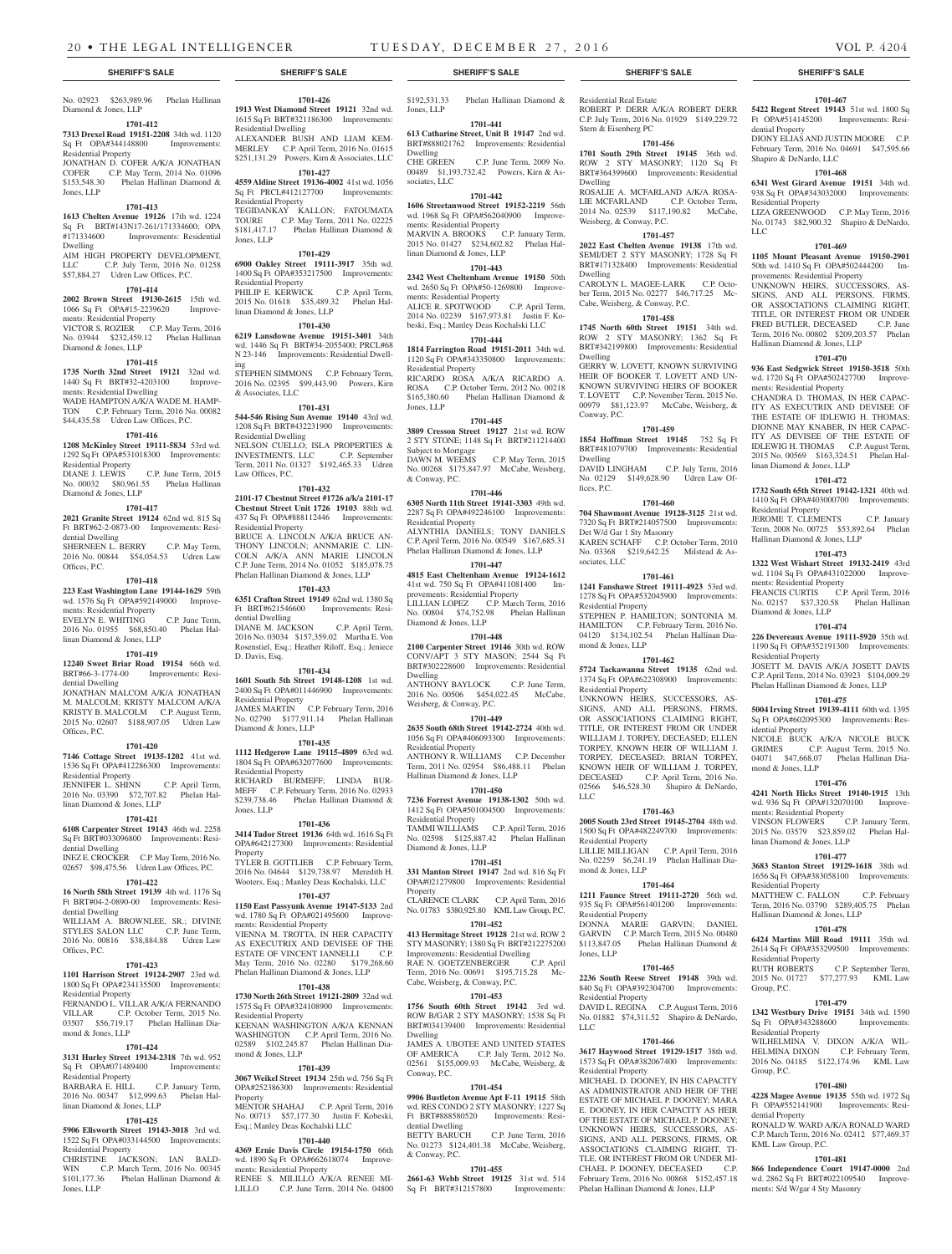#### **SHERIFF'S SALE SHERIFF'S SALE SHERIFF'S SALE SHERIFF'S SALE SHERIFF'S SALE**

# No. 02923 \$263,989.96 Phelan Hallinan Diamond & Jones, LLP

# **1701-412**

**7313 Drexel Road 19151-2208** 34th wd. 1120 Sq Ft OPA#344148800 Improvements:

# Residential Property

JONATHAN D. COFER A/K/A JONATHAN COFER C.P. May Term, 2014 No. 01096 \$153,548.30 Phelan Hallinan Diamond & Jones, LLP

#### **1701-413**

**1613 Chelten Avenue 19126** 17th wd. 1224 Sq Ft BRT#143N17-261/171334600; OPA<br>#171334600 Improvements: Residential Improvements: Residential Dwelling

AIM HIGH PROPERTY DEVELOPMENT, LLC C.P. July Term, 2016 No. 01258 \$57,884.27 Udren Law Offices, P.C.

# **1701-414**

**2002 Brown Street 19130-2615** 15th wd. 1066 Sq Ft OPA#15-2239620 Improvements: Residential Property VICTOR S. ROZIER C.P. May Term, 2016 No. 03944 \$232,459.12 Phelan Hallinan Diamond & Jones, LLP

# **1701-415**

**1735 North 32nd Street 19121** 32nd wd. 1440 Sq Ft BRT#32-4203100 Improvements: Residential Dwelling WADE HAMPTON A/K/A WADE M. HAMP-TON C.P. February Term, 2016 No. 00082 \$44,435.58 Udren Law Offices, P.C.

# **1701-416**

**1208 McKinley Street 19111-5834** 53rd wd. 1292 Sq Ft OPA#531018300 Improvements: Residential Property<br>DIANE J. LEWIS C.P. June Term, 2015

No. 00032 \$80,961.55 Phelan Hallinan Diamond & Jones, LLP

# **1701-417**

**2021 Granite Street 19124** 62nd wd. 815 Sq Ft BRT#62-2-0873-00 Improvements: Residential Dwelling

SHERNEEN L. BERRY C.P. May Term, 2016 No. 00844 \$54,054.53 Udren Law Offices, P.C.

### **1701-418**

**223 East Washington Lane 19144-1629** 59th wd. 1576 Sq Ft OPA#592149000 Improvements: Residential Property EVELYN E. WHITING C.P. June Term, EVELYN E. WHITING C.P. June Term,<br>2016 No. 01955 \$68,850.40 Phelan Hal-

# linan Diamond & Jones, LLP

# **1701-419**

**12240 Sweet Briar Road 19154** 66th wd. BRT#66-3-1774-00 Improvements: Residential Dwelling JONATHAN MALCOM A/K/A JONATHAN

M. MALCOLM; KRISTY MALCOM A/K/A KRISTY B. MALCOLM C.P. August Term, 2015 No. 02607 \$188,907.05 Udren Law Offices, P.C.

#### **1701-420**

**7146 Cottage Street 19135-1202** 41st wd. 1536 Sq Ft OPA#412286300 Improvements: Residential Property JENNIFER L. SHINN C.P. April Term, 2016 No. 03390 \$72,707.82 Phelan Hal-

linan Diamond & Jones, LLP **1701-421**

# **6108 Carpenter Street 19143** 46th wd. 2258

Sq Ft BRT#033096800 Improvements: Residential Dwelling INEZ E. CROCKER C.P. May Term, 2016 No.

02657 \$98,475.56 Udren Law Offices, P.C. **1701-422**

#### **16 North 58th Street 19139** 4th wd. 1176 Sq Ft BRT#04-2-0890-00 Improvements: Resi-

dential Dwelling WILLIAM A. BROWNLEE, SR.; DIVINE STYLES SALON LLC C.P. June Term, 2016 No. 00816 \$38,884.88 Udren Law Offices, P.C.

#### **1701-423**

**1101 Harrison Street 19124-2907** 23rd wd. 1800 Sq Ft OPA#234135500 Improvements: Residential Property

FERNANDO L. VILLAR A/K/A FERNANDO VILLAR C.P. October Term, 2015 No. 03507 \$56,719.17 Phelan Hallinan Diamond & Jones, LLP

# **1701-424**

**3131 Hurley Street 19134-2318** 7th wd. 952 Sq Ft OPA#071489400 Improvements: Residential Property BARBARA E. HILL C.P. January Term,

#### 2016 No. 00347 \$12,999.63 Phelan Hallinan Diamond & Jones, LLP Property

**1701-425**

#### **5906 Ellsworth Street 19143-3018** 3rd wd. 1522 Sq Ft OPA#033144500 Improvements: Residential Property

CHRISTINE JACKSON; IAN BALD-WIN C.P. March Term, 2016 No. 00345  $$101,177.36$  Phelan Hallinan Diamond & Jones, LLP

**1701-426 1913 West Diamond Street 19121** 32nd wd. 1615 Sq Ft BRT#321186300 Improvements: Residential Dwelling

ALEXANDER BUSH AND LIAM KEM-MERLEY C.P. April Term, 2016 No. 01615 \$251,131.29 Powers, Kirn & Associates, LLC **1701-427**

**4559 Aldine Street 19136-4002** 41st wd. 1056 Sq Ft PRCL#412127700 Improvements: Residential Property TEGIDANKAY KALLON; FATOUMATA

TOURE C.P. May Term, 2011 No. 02225 \$181,417.17 Phelan Hallinan Diamond & Jones, LLP

# **1701-429**

**6900 Oakley Street 19111-3917** 35th wd. 1400 Sq Ft OPA#353217500 Improvements: Residential Property PHILIP E. KERWICK C.P. April Term, 2015 No. 01618 \$35,489.32 Phelan Hallinan Diamond & Jones, LLP

**1701-430 6219 Lansdowne Avenue 19151-3401** 34th wd. 1446 Sq Ft BRT#34-2055400; PRCL#68 N 23-146 Improvements: Residential Dwell-

ing STEPHEN SIMMONS C.P. February Term, 2016 No. 02395 \$99,443.90 Powers, Kirn & Associates, LLC

#### **1701-431**

**544-546 Rising Sun Avenue 19140** 43rd wd. 1208 Sq Ft BRT#432231900 Improvements: Residential Dwelling NELSON CUELLO; ISLA PROPERTIES & INVESTMENTS, LLC C.P. September Term, 2011 No. 01327 \$192,465.33 Udren Law Offices, P.C.

#### **1701-432**

**2101-17 Chestnut Street #1726 a/k/a 2101-17 Chestnut Street Unit 1726 19103** 88th wd. 437 Sq Ft OPA#888112446 Improvements: Residential Property BRUCE A. LINCOLN A/K/A BRUCE AN-THONY LINCOLN; ANNMARIE C. LIN-COLN A/K/A ANN MARIE LINCOLN C.P. June Term, 2014 No. 01052 \$185,078.75 Phelan Hallinan Diamond & Jones, LLP

# **1701-433**

**6351 Crafton Street 19149** 62nd wd. 1380 Sq Ft BRT#621546600 Improvements: Residential Dwelling DIANE M. JACKSON C.P. April Term, 2016 No. 03034 \$157,359.02 Martha E. Von Rosenstiel, Esq.; Heather Riloff, Esq.; Jeniece D. Davis, Esq.

### **1701-434**

**1601 South 5th Street 19148-1208** 1st wd. 2400 Sq Ft OPA#011446900 Improvements: Residential Property JAMES MARTIN C.P. February Term, 2016 No. 02790 \$177,911.14 Phelan Hallinan Diamond & Jones, LLP

**1701-435 1112 Hedgerow Lane 19115-4809** 63rd wd. 1804 Sq Ft OPA#632077600 Improvements: Residential Property

RICHARD BURMEFF; LINDA BUR-MEFF C.P. February Term, 2016 No. 02933 \$239,738.46 Phelan Hallinan Diamond & Jones, LLP

#### **1701-436**

**3414 Tudor Street 19136** 64th wd. 1616 Sq Ft OPA#642127300 Improvements: Residential Property TYLER B. GOTTLIEB C.P. February Term,

2016 No. 04644 \$129,738.97 Meredith H. Wooters, Esq.; Manley Deas Kochalski, LLC **1701-437**

**1150 East Passyunk Avenue 19147-5133** 2nd wd. 1780 Sq Ft OPA#021495600 Improvements: Residential Property VIENNA M. TROTTA, IN HER CAPACITY AS EXECUTRIX AND DEVISEE OF THE ESTATE OF VINCENT IANNELLI C.P. May Term, 2016 No. 02280 \$179,268.60 Phelan Hallinan Diamond & Jones, LLP

#### **1701-438**

**1730 North 26th Street 19121-2809** 32nd wd. 1575 Sq Ft OPA#324108900 Improvements: Residential Property KEENAN WASHINGTON A/K/A KENNAN WASHINGTON C.P. April Term, 2016 No. 02589 \$102,245.87 Phelan Hallinan Diamond & Jones, LLP

#### **1701-439**

**3067 Weikel Street 19134** 25th wd. 756 Sq Ft OPA#252386300 Improvements: Residential MENTOR SHAHAJ C.P. April Term, 2016

No. 00713 \$57,177.30 Justin F. Kobeski, Esq.; Manley Deas Kochalski LLC **1701-440**

**4369 Ernie Davis Circle 19154-1750** 66th wd. 1890 Sq Ft OPA#662618074 Improvements: Residential Property

RENEE S. MILILLO A/K/A RENEE MI-LILLO C.P. June Term, 2014 No. 04800

\$192,531.33 Phelan Hallinan Diamond & Jones, LLP

Residential Real Estate

Stern & Eisenberg PC

Weisberg, & Conway, P.C.

Cabe, Weisberg, & Conway, P.C.

Dwelling

Dwelling

Dwelling

Conway, P.C.

Dwelling

fices, P.C.

sociates, LLC

Residential Property

mond & Jones, LLP

Residential Property

Residential Property

mond & Jones, LLP

Residential Property

Residential Property

Residential Property

Jones, LLP

LLC

LLC

C.P. July Term, 2016 No. 01929 \$149,229.72

**1701-456 1701 South 29th Street 19145** 36th wd. ROW 2 STY MASONRY; 1120 Sq Ft BRT#364399600 Improvements: Residential

ROSALIE A. MCFARLAND A/K/A ROSA-LIE MCFARLAND C.P. October Term, 2014 No. 02539 \$117,190.82 McCabe,

**1701-457 2022 East Chelten Avenue 19138** 17th wd. SEMI/DET 2 STY MASONRY; 1728 Sq Ft BRT#171328400 Improvements: Residential

CAROLYN L. MAGEE-LARK C.P. October Term, 2015 No. 02277 \$46,717.25 Mc-

**1701-458 1745 North 60th Street 19151** 34th wd. ROW 2 STY MASONRY; 1362 Sq Ft BRT#342199800 Improvements: Residential

GERRY W. LOVETT, KNOWN SURVIVING HEIR OF BOOKER T. LOVETT AND UN-KNOWN SURVIVING HEIRS OF BOOKER T. LOVETT C.P. November Term, 2015 No. 00979 \$81,123.97 McCabe, Weisberg, &

**1701-459 1854 Hoffman Street 19145** 752 Sq Ft BRT#481079700 Improvements: Residential

DAVID LINGHAM C.P. July Term, 2016 No. 02129 \$149,628.90 Udren Law Of-

**1701-460 704 Shawmont Avenue 19128-3125** 21st wd. 7320 Sq Ft BRT#214057500 Improvements:

KAREN SCHAFF C.P. October Term, 2010 No. 03368 \$219,642.25 Milstead & As-

**1701-461 1241 Fanshawe Street 19111-4923** 53rd wd. 1278 Sq Ft OPA#532045900 Improvements:

STEPHEN P. HAMILTON; SONTONIA M. HAMILTON C.P. February Term, 2016 No. 04120 \$134,102.54 Phelan Hallinan Dia-

**1701-462 5724 Tackawanna Street 19135** 62nd wd. 1374 Sq Ft OPA#622308900 Improvements:

UNKNOWN HEIRS, SUCCESSORS, AS-SIGNS, AND ALL PERSONS, FIRMS, OR ASSOCIATIONS CLAIMING RIGHT, TITLE, OR INTEREST FROM OR UNDER WILLIAM J. TORPEY, DECEASED; ELLEN TORPEY, KNOWN HEIR OF WILLIAM J. TORPEY, DECEASED; BRIAN TORPEY, KNOWN HEIR OF WILLIAM J. TORPEY, DECEASED C.P. April Term, 2016 No. 02566 \$46,528.30 Shapiro & DeNardo,

**1701-463 2005 South 23rd Street 19145-2704** 48th wd. 1500 Sq Ft OPA#482249700 Improvements:

LILLIE MILLIGAN C.P. April Term, 2016 No. 02259 \$6,241.19 Phelan Hallinan Dia-

**1701-464 1211 Faunce Street 19111-2720** 56th wd. 935 Sq Ft OPA#561401200 Improvements:

DONNA MARIE GARVIN; DANIEL GARVIN C.P. March Term, 2015 No. 00480 \$113,847.05 Phelan Hallinan Diamond &

**1701-465 2236 South Reese Street 19148** 39th wd. 840 Sq Ft OPA#392304700 Improvements:

DAVID L. REGINA C.P. August Term, 2016 No. 01882 \$74,311.52 Shapiro & DeNardo,

**1701-466 3617 Haywood Street 19129-1517** 38th wd. 1573 Sq Ft OPA#382067400 Improvements:

MICHAEL D. DOONEY, IN HIS CAPACITY AS ADMINISTRATOR AND HEIR OF THE ESTATE OF MICHAEL P. DOONEY; MARA E. DOONEY, IN HER CAPACITY AS HEIR OF THE ESTATE OF MICHAEL P. DOONEY; UNKNOWN HEIRS, SUCCESSORS, AS-SIGNS, AND ALL PERSONS, FIRMS, OR ASSOCIATIONS CLAIMING RIGHT, TI-TLE, OR INTEREST FROM OR UNDER MI-CHAEL P. DOONEY, DECEASED C.P. February Term, 2016 No. 00868 \$152,457.18 Phelan Hallinan Diamond & Jones, LLP

Det W/d Gar 1 Sty Masonry

ROBERT P. DERR A/K/A ROBERT DERR **5422 Regent Street 19143** 51st wd. 1800 Sq

dential Property

Shapiro & DeNardo, LLC

Residential Property

LLC

**1701-467** Ft OPA#514145200 Improvements: Resi-

DIONY ELIAS AND JUSTIN MOORE C.P. February Term, 2016 No. 04691 \$47,595.66

**1701-468 6341 West Girard Avenue 19151** 34th wd. 938 Sq Ft OPA#343032000 Improvements:

LIZA GREENWOOD C.P. May Term, 2016 No. 01743 \$82,900.32 Shapiro & DeNardo,

**1701-469 1105 Mount Pleasant Avenue 19150-2901**  50th wd. 1410 Sq Ft OPA#502444200 Im-

UNKNOWN HEIRS, SUCCESSORS, AS-SIGNS, AND ALL PERSONS, FIRMS, OR ASSOCIATIONS CLAIMING RIGHT, TITLE, OR INTEREST FROM OR UNDER FRED BUTLER, DECEASED C.P. June Term, 2016 No. 00802 \$209,203.57 Phelan

**1701-470 936 East Sedgwick Street 19150-3518** 50th wd. 1720 Sq Ft OPA#502427700 Improve-

CHANDRA D. THOMAS, IN HER CAPAC-ITY AS EXECUTRIX AND DEVISEE OF THE ESTATE OF IDLEWIG H. THOMAS; DIONNE MAY KNABER, IN HER CAPAC-ITY AS DEVISEE OF THE ESTATE OF IDLEWIG H. THOMAS C.P. August Term, 2015 No. 00569 \$163,324.51 Phelan Hal-

**1701-472 1732 South 65th Street 19142-1321** 40th wd. 1410 Sq Ft OPA#403000700 Improvements:

JEROME T. CLEMENTS C.P. January Term, 2008 No. 00725 \$53,892.64 Phelan

**1701-473 1322 West Wishart Street 19132-2419** 43rd wd. 1104 Sq Ft OPA#431022000 Improve-

FRANCIS CURTIS C.P. April Term, 2016 No. 02157 \$37,320.58 Phelan Hallinan

**1701-474 226 Devereaux Avenue 19111-5920** 35th wd. 1190 Sq Ft OPA#352191300 Improvements:

JOSETT M. DAVIS A/K/A JOSETT DAVIS C.P. April Term, 2014 No. 03923 \$104,009.29 Phelan Hallinan Diamond & Jones, LLP **1701-475 5004 Irving Street 19139-4111** 60th wd. 1395 Sq Ft OPA#602095300 Improvements: Res-

NICOLE BUCK A/K/A NICOLE BUCK<br>GRIMES C.P. August Term, 2015 No. C.P. August Term, 2015 No. 04071 \$47,668.07 Phelan Hallinan Dia-

**1701-476 4241 North Hicks Street 19140-1915** 13th wd. 936 Sq Ft OPA#132070100 Improve-

VINSON FLOWERS C.P. January Term, 2015 No. 03579 \$23,859.02 Phelan Hal-

**1701-477 3683 Stanton Street 19129-1618** 38th wd. 1656 Sq Ft OPA#383058100 Improvements:

MATTHEW C. FALLON C.P. February Term, 2016 No. 03790 \$289,405.75 Phelan

**1701-478 6424 Martins Mill Road 19111** 35th wd. 2614 Sq Ft OPA#353299500 Improvements:

RUTH ROBERTS C.P. September Term, 2015 No. 01727 \$77,277.93 KML Law

**1701-479 1342 Westbury Drive 19151** 34th wd. 1590 Sq Ft OPA#343288600 Improvements:

WILHELMINA V. DIXON A/K/A WIL-HELMINA DIXON C.P. February Term, 2016 No. 04185 \$122,174.96 KML Law

**1701-480 4228 Magee Avenue 19135** 55th wd. 1972 Sq Ft OPA#552141900 Improvements: Resi-

RONALD W. WARD A/K/A RONALD WARD C.P. March Term, 2016 No. 02412 \$77,469.37

**1701-481 866 Independence Court 19147-0000** 2nd wd. 2862 Sq Ft BRT#022109540 Improve-

provements: Residential Property

Hallinan Diamond & Jones, LLP

ments: Residential Property

linan Diamond & Jones, LLP

Hallinan Diamond & Jones, LLP

ments: Residential Property

Diamond & Jones, LLP

Residential Property

idential Property

mond & Jones, LLP

ments: Residential Property

linan Diamond & Jones, LLP

Hallinan Diamond & Jones, LLP

Residential Property

Residential Property

Residential Property

Group, P.C.

Group, P.C.

dential Property

KML Law Group, P.C.

ments: S/d W/gar 4 Sty Masonry

Residential Property

**1701-441 613 Catharine Street, Unit B 19147** 2nd wd. BRT#888021762 Improvements: Residential Dwelling CHE GREEN C.P. June Term, 2009 No. 00489 \$1,193,732.42 Powers, Kirn & As-

sociates, LLC **1701-442**

**1606 Streetanwood Street 19152-2219** 56th wd. 1968 Sq Ft OPA#562040900 Improve-

ments: Residential Property MARVIN A. BROOKS C.P. January Term, 2015 No. 01427 \$234,602.82 Phelan Hallinan Diamond & Jones, LLP

#### **1701-443**

**2342 West Cheltenham Avenue 19150** 50th wd. 2650 Sq Ft. OPA#50-1269800 Improvements: Residential Property ALICE R. SPOTWOOD C.P. April Term, 2014 No. 02239 \$167,973.81 Justin F. Kobeski, Esq.; Manley Deas Kochalski LLC

# **1701-444**

**1814 Farrington Road 19151-2011** 34th wd. 1120 Sq Ft OPA#343350800 Improvements: Residential Property RICARDO ROSA A/K/A RICARDO A. ROSA C.P. October Term, 2012 No. 00218 \$165,380.60 Phelan Hallinan Diamond & Jones, LLP

#### **1701-445**

**3809 Cresson Street 19127** 21st wd. ROW 2 STY STONE; 1148 Sq Ft BRT#211214400 Subject to Mortgage DAWN M. WEEMS C.P. May Term, 2015 No. 00268 \$175,847.97 McCabe, Weisberg, & Conway, P.C.

**1701-446 6305 North 11th Street 19141-3303** 49th wd. 2287 Sq Ft OPA#492246100 Improvements: Residential Property ALYNTHIA DANIELS; TONY DANIELS

C.P. April Term, 2016 No. 00549 \$167,685.31 Phelan Hallinan Diamond & Jones, LLP **1701-447**

# **4815 East Cheltenham Avenue 19124-1612**

41st wd. 750 Sq Ft OPA#411081400 Improvements: Residential Property LILLIAN LOPEZ C.P. March Term, 2016 No. 00804 \$74,752.98 Phelan Hallinan Diamond & Jones, LLP

#### **1701-448**

**2100 Carpenter Street 19146** 30th wd. ROW CONV/APT 3 STY MASON; 2544 Sq Ft BRT#302228600 Improvements: Residential Dwelling ANTHONY BAYLOCK C.P. June Term, 2016 No. 00506 \$454,022.45 McCabe, Weisberg, & Conway, P.C.

# **1701-449**

**2635 South 68th Street 19142-2724** 40th wd. 1056 Sq Ft OPA#406093300 Improvements: Residential Property

ANTHONY R. WILLIAMS C.P. December Term, 2011 No. 02954 \$86,488.11 Phelan Hallinan Diamond & Jones, LLP

# **1701-450**

**7236 Forrest Avenue 19138-1302** 50th wd. 1412 Sq Ft OPA#501004500 Improvements: Residential Property TAMMI WILLIAMS C.P. April Term, 2016 No. 02598 \$125,887.42 Phelan Hallinan Diamond & Jones, LLP

**1701-451**

**1701-452 413 Hermitage Street 19128** 21st wd. ROW 2 STY MASONRY; 1380 Sq Ft BRT#212275200 Improvements: Residential Dwelling<br>
RAE N. GOETZENBERGER
C.P. April RAE N. GOETZENBERGER C.P. April Term, 2016 No. 00691 \$195,715.28 Mc-

**1701-453 1756 South 60th Street 19142** 3rd wd. ROW B/GAR 2 STY MASONRY; 1538 Sq Ft BRT#034139400 Improvements: Residential

**1701-454 9906 Bustleton Avenue Apt F-11 19115** 58th wd. RES CONDO 2 STY MASONRY: 1227 Sq. Ft BRT#888580520 Improvements: Resi-

No. 01273 \$124,401.38 McCabe, Weisberg,

**1701-455 2661-63 Webb Street 19125** 31st wd. 514 Sq Ft BRT#312157800 Improvements:

UBOTEE AND UNITED STATES OF AMERICA C.P. July Term, 2012 No. 02561 \$155,009.93 McCabe, Weisberg, &

C.P. June Term, 2016

Cabe, Weisberg, & Conway, P.C.

**331 Manton Street 19147** 2nd wd. 816 Sq Ft OPA#021279800 Improvements: Residential Property CLARENCE CLARK C.P. April Term, 2016 No. 01783 \$380,925.80 KML Law Group, P.C.

Dwelling<br>JAMES A

Conway, P.C.

dential Dwelling<br>BETTY BARUCH

& Conway, P.C.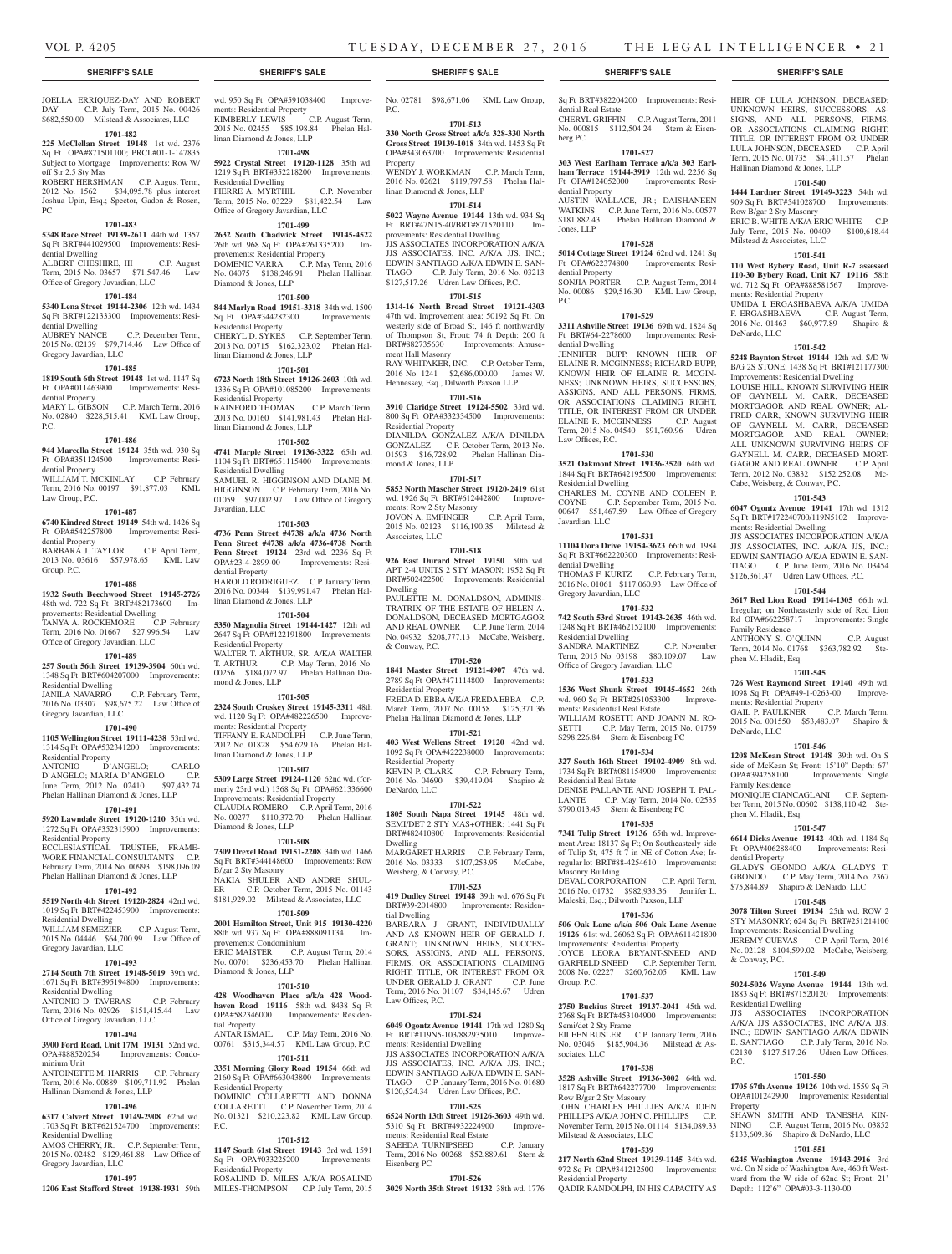dential Real Estate

dential Property

Jones, LLP

dential Property

dential Dwelling

Law Offices, P.C.

Residential Dwelling

Javardian, LLC

dential Dwelling

Gregory Javardian, LLC

Residential Dwelling

Office of Gregory Javardian, LLC

ments: Residential Real Estate

Residential Real Estate

Masonry Building

Group, P.C.

sociates, LLC

Semi/det 2 Sty Frame

No. 03046 \$185,904.36

Row B/gar 2 Sty Masonry

Milstead & Associates, LLC

Residential Property

P.C.

berg PC

Sq Ft BRT#382204200 Improvements: Resi-

HEIR OF LULA JOHNSON, DECEASED; UNKNOWN HEIRS, SUCCESSORS, AS-SIGNS, AND ALL PERSONS, FIRMS, OR ASSOCIATIONS CLAIMING RIGHT, TITLE, OR INTEREST FROM OR UNDER LULA JOHNSON, DECEASED C.P. April Term, 2015 No. 01735 \$41,411.57 Phelan

**1701-540 1444 Lardner Street 19149-3223** 54th wd. 909 Sq Ft BRT#541028700 Improvements:

ERIC B. WHITE A/K/A ERIC WHITE C.P. July Term, 2015 No. 00409 \$100,618.44

**1701-541 110 West Bybery Road, Unit R-7 assessed 110-30 Bybery Road, Unit K7 19116** 58th wd. 712 Sq Ft OPA#888581567 Improve-

UMIDA I. ERGASHBAEVA A/K/A UMIDA F. ERGASHBAEVA C.P. August Term, 2016 No. 01463 \$60,977.89 Shapiro &

**1701-542 5248 Baynton Street 19144** 12th wd. S/D W B/G 2S STONE; 1438 Sq Ft BRT#121177300 Improvements: Residential Dwelling LOUISE HILL, KNOWN SURVIVING HEIR OF GAYNELL M. CARR, DECEASED MORTGAGOR AND REAL OWNER; AL-FRED CARR, KNOWN SURVIVING HEIR OF GAYNELL M. CARR, DECEASED MORTGAGOR AND REAL OWNER; ALL UNKNOWN SURVIVING HEIRS OF GAYNELL M. CARR, DECEASED MORT-GAGOR AND REAL OWNER C.P. April Term, 2012 No. 03832 \$152,252.08 Mc-

Hallinan Diamond & Jones, LLP

Row B/gar 2 Sty Masonry

Milstead & Associates, LLC

ments: Residential Property

Cabe, Weisberg, & Conway, P.C.

ments: Residential Dwelling

Family Residence

phen M. Hladik, Esq.

DeNardo, LLC

Family Residence

phen M. Hladik, Esq.

dential Property

& Conway, P.C.

P.C.

Property

Residential Dwelling

ments: Residential Property

**1701-543 6047 Ogontz Avenue 19141** 17th wd. 1312 Sq Ft BRT#172240700/119N5102 Improve-

JJS ASSOCIATES INCORPORATION A/K/A JJS ASSOCIATES, INC. A/K/A JJS, INC.; EDWIN SANTIAGO A/K/A EDWIN E. SAN-TIAGO C.P. June Term, 2016 No. 03454 \$126,361.47 Udren Law Offices, P.C. **1701-544 3617 Red Lion Road 19114-1305** 66th wd. Irregular; on Northeasterly side of Red Lion Rd OPA#662258717 Improvements: Single

ANTHONY S. O'QUINN C.P. August Term, 2014 No. 01768 \$363,782.92 Ste-

**1701-545 726 West Raymond Street 19140** 49th wd. 1098 Sq Ft OPA#49-1-0263-00 Improve-

GAIL P. FAULKNER C.P. March Term, 2015 No. 001550 \$53,483.07 Shapiro &

**1701-546 1208 McKean Street 19148** 39th wd. On S side of McKean St; Front: 15'10" Depth: 67' OPA#394258100 Improvements: Single

MONIQUE CIANCAGLANI C.P. September Term, 2015 No. 00602 \$138,110.42 Ste-

**1701-547 6614 Dicks Avenue 19142** 40th wd. 1184 Sq Ft OPA#406288400 Improvements: Resi-

GLADYS GBONDO A/K/A GLADYS T. GBONDO C.P. May Term, 2014 No. 2367 \$75,844.89 Shapiro & DeNardo, LLC **1701-548 3078 Tilton Street 19134** 25th wd. ROW 2 STY MASONRY; 624 Sq Ft BRT#251214100 Improvements: Residential Dwelling JEREMY CUEVAS C.P. April Term, 2016 No. 02128 \$104,599.02 McCabe, Weisberg,

**1701-549 5024-5026 Wayne Avenue 19144** 13th wd. 1883 Sq Ft BRT#871520120 Improvements:

JJS ASSOCIATES INCORPORATION A/K/A JJS ASSOCIATES, INC A/K/A JJS, INC.; EDWIN SANTIAGO A/K/A EDWIN E. SANTIAGO C.P. July Term, 2016 No. 02130 \$127,517.26 Udren Law Offices,

**1701-550 1705 67th Avenue 19126** 10th wd. 1559 Sq Ft OPA#101242900 Improvements: Residential

SHAWN SMITH AND TANESHA KIN-NING C.P. August Term, 2016 No. 03852 \$133,609.86 Shapiro & DeNardo, LLC **1701-551 6245 Washington Avenue 19143-2916** 3rd wd. On N side of Washington Ave, 460 ft Westward from the W side of 62nd St; Front: 21' Depth: 112'6" OPA#03-3-1130-00

DeNardo, LLC

CHERYL GRIFFIN C.P. August Term, 2011 No. 000815 \$112,504.24 Stern & Eisen-

**1701-527 303 West Earlham Terrace a/k/a 303 Earlham Terrace 19144-3919** 12th wd. 2256 Sq Ft OPA#124052000 Improvements: Resi-

AUSTIN WALLACE, JR.; DAISHANEEN WATKINS C.P. June Term, 2016 No. 00577 \$181,882.43 Phelan Hallinan Diamond &

**1701-528 5014 Cottage Street 19124** 62nd wd. 1241 Sq Ft OPA#622374800 Improvements: Resi-

SONJIA PORTER C.P. August Term, 2014 No. 00086 \$29,516.30 KML Law Group,

**1701-529 3311 Ashville Street 19136** 69th wd. 1824 Sq Ft BRT#64-2278600 Improvements: Resi-

JENNIFER BUPP, KNOWN HEIR OF ELAINE R. MCGINNESS; RICHARD BUPP, KNOWN HEIR OF ELAINE R. MCGIN-NESS; UNKNOWN HEIRS, SUCCESSORS, ASSIGNS, AND ALL PERSONS, FIRMS, OR ASSOCIATIONS CLAIMING RIGHT, TITLE, OR INTEREST FROM OR UNDER ELAINE R. MCGINNESS C.P. August Term, 2015 No. 04540 \$91,760.96 Udren

**1701-530 3521 Oakmont Street 19136-3520** 64th wd. 1844 Sq Ft BRT#642195500 Improvements:

CHARLES M. COYNE AND COLEEN P. COYNE C.P. September Term, 2015 No. 00647 \$51,467.59 Law Office of Gregory

**1701-531 11104 Dora Drive 19154-3623** 66th wd. 1984 Sq Ft BRT#662220300 Improvements: Resi-

THOMAS F. KURTZ C.P. February Term, 2016 No. 01061 \$117,060.93 Law Office of

**1701-532 742 South 53rd Street 19143-2635** 46th wd. 1248 Sq Ft BRT#462152100 Improvements:

SANDRA MARTINEZ C.P. November Term, 2015 No. 03198 \$80,109.07 Law

**1701-533 1536 West Shunk Street 19145-4652** 26th wd. 960 Sq Ft BRT#261053300 Improve-

WILLIAM ROSETTI AND JOANN M. RO-SETTI C.P. May Term, 2015 No. 01759 \$298,226.84 Stern & Eisenberg PC **1701-534 327 South 16th Street 19102-4909** 8th wd. 1734 Sq Ft BRT#081154900 Improvements:

DENISE PALLANTE AND JOSEPH T. PAL-LANTE C.P. May Term, 2014 No. 02535 \$790,013.45 Stern & Eisenberg PC **1701-535 7341 Tulip Street 19136** 65th wd. Improvement Area: 18137 Sq Ft; On Southeasterly side of Tulip St, 475 ft 7 in NE of Cotton Ave; Irregular lot BRT#88-4254610 Improvements:

DEVAL CORPORATION C.P. April Term, 2016 No. 01732 \$982,933.36 Jennifer L. Maleski, Esq.; Dilworth Paxson, LLP **1701-536 506 Oak Lane a/k/a 506 Oak Lane Avenue 19126** 61st wd. 26062 Sq Ft OPA#611421800 Improvements: Residential Property JOYCE LEORA BRYANT-SNEED AND GARFIELD SNEED C.P. September Term, 2008 No. 02227 \$260,762.05 KML Law

**1701-537 2750 Buckius Street 19137-2041** 45th wd. 2768 Sq Ft BRT#453104900 Improvements:

EILEEN BUSLER C.P. January Term, 2016

**1701-538 3528 Ashville Street 19136-3002** 64th wd. 1817 Sq Ft BRT#642277700 Improvements:

JOHN CHARLES PHILLIPS A/K/A JOHN PHILLIPS A/K/A JOHN C. PHILLIPS C.P. November Term, 2015 No. 01114 \$134,089.33

**1701-539 217 North 62nd Street 19139-1145** 34th wd. 972 Sq Ft OPA#341212500 Improvements:

QADIR RANDOLPH, IN HIS CAPACITY AS

#### **SHERIFF'S SALE SHERIFF'S SALE SHERIFF'S SALE SHERIFF'S SALE SHERIFF'S SALE**

JOELLA ERRIQUEZ-DAY AND ROBERT DAY C.P. July Term, 2015 No. 00426 \$682,550.00 Milstead & Associates, LLC

#### **1701-482**

**225 McClellan Street 19148** 1st wd. 2376 Sq Ft OPA#871501100; PRCL#01-1-147835 Subject to Mortgage Improvements: Row W/ off Str 2.5 Sty Mas

ROBERT HERSHMAN C.P. August Term, 2012 No. 1562 \$34,095.78 plus interest Joshua Upin, Esq.; Spector, Gadon & Rosen, PC

#### **1701-483**

**5348 Race Street 19139-2611** 44th wd. 1357 Sq Ft BRT#441029500 Improvements: Residential Dwelling

ALBERT CHESHIRE, III C.P. August Term, 2015 No. 03657 \$71,547.46 Law Office of Gregory Javardian, LLC

#### **1701-484**

**5340 Lena Street 19144-2306** 12th wd. 1434 Sq Ft BRT#122133300 Improvements: Residential Dwelling

AUBREY NANCE C.P. December Term, 2015 No. 02139 \$79,714.46 Law Office of Gregory Javardian, LLC

#### **1701-485**

P.C.

**1819 South 6th Street 19148** 1st wd. 1147 Sq Ft OPA#011463900 Improvements: Residential Property MARY L. GIBSON C.P. March Term, 2016 No. 02840 \$228,515.41 KML Law Group,

#### **1701-486**

**944 Marcella Street 19124** 35th wd. 930 Sq Ft OPA#351124500 Improvements: Resi-

dential Property WILLIAM T. MCKINLAY C.P. February Term, 2016 No. 00197 \$91,877.03 KML

Law Group, P.C.

# **1701-487**

**6740 Kindred Street 19149** 54th wd. 1426 Sq Ft OPA#542257800 Improvements: Residential Property

BARBARA J. TAYLOR C.P. April Term, 2013 No. 03616 \$57,978.65 KML Law Group, P.C.

#### **1701-488**

**1932 South Beechwood Street 19145-2726**  48th wd. 722 Sq Ft BRT#482173600 Improvements: Residential Dwelling TANYA A. ROCKEMORE C.P. February Term, 2016 No. 01667 \$27,996.54 Law

# Office of Gregory Javardian, LLC **1701-489**

**257 South 56th Street 19139-3904** 60th wd. 1348 Sq Ft BRT#604207000 Improvements:

Residential Dwelling JANILA NAVARRO C.P. February Term, 2016 No. 03307 \$98,675.22 Law Office of Gregory Javardian, LLC

# **1701-490**

**1105 Wellington Street 19111-4238** 53rd wd. 1314 Sq Ft OPA#532341200 Improvements: Residential Property<br>ANTONIO D'ANGELO; ANTONIO D'ANGELO; CARLO D'ANGELO; MARIA D'ANGELO C.P.

June Term, 2012 No. 02410 \$97,432.74 Phelan Hallinan Diamond & Jones, LLP **1701-491**

#### **5920 Lawndale Street 19120-1210** 35th wd. 1272 Sq Ft OPA#352315900 Improvements: Residential Property ECCLESIASTICAL TRUSTEE, FRAME-WORK FINANCIAL CONSULTANTS C.P.

February Term, 2014 No. 00993 \$198,096.09 Phelan Hallinan Diamond & Jones, LLP **1701-492**

# **5519 North 4th Street 19120-2824** 42nd wd.

1019 Sq Ft BRT#422453900 Improvements: Residential Dwelling WILLIAM SEMEZIER C.P. August Term,

2015 No. 04446 \$64,700.99 Law Office of Gregory Javardian, LLC

# **1701-493**

**2714 South 7th Street 19148-5019** 39th wd. 1671 Sq Ft BRT#395194800 Improvements:

#### Residential Dwelling ANTONIO D. TAVERAS C.P. February Term, 2016 No. 02926 \$151,415.44 Law

Office of Gregory Javardian, LLC **1701-494**

#### **3900 Ford Road, Unit 17M 19131** 52nd wd. OPA#888520254 Improvements: Condominium Unit ANTOINETTE M. HARRIS C.P. February

Term, 2016 No. 00889 \$109,711.92 Phelan Hallinan Diamond & Jones, LLP

# **1701-496**

**6317 Calvert Street 19149-2908** 62nd wd. 1703 Sq Ft BRT#621524700 Improvements: Residential Dwelling AMOS CHERRY, JR. C.P. September Term,

2015 No. 02482 \$129,461.88 Law Office of Gregory Javardian, LLC **1701-497**

**1206 East Stafford Street 19138-1931** 59th

wd. 950 Sq Ft OPA#591038400 Improvements: Residential Property KIMBERLY LEWIS C.P. August Term, 2015 No. 02455 \$85,198.84 Phelan Hallinan Diamond & Jones, LLP

#### **1701-498**

**5922 Crystal Street 19120-1128** 35th wd. 1219 Sq Ft BRT#352218200 Improvements: Residential Dwelling PIERRE A. MYRTHIL C.P. November Term, 2015 No. 03229 \$81,422.54 Law Office of Gregory Javardian, LLC

# **1701-499**

**2632 South Chadwick Street 19145-4522**  26th wd. 968 Sq Ft OPA#261335200 Improvements: Residential Property DOMENIC VARRA C.P. May Term, 2016 No. 04075 \$138,246.91 Phelan Hallinan Diamond & Jones, LLP

#### **1701-500**

**844 Marlyn Road 19151-3318** 34th wd. 1500 Sq Ft OPA#344282300 Improvements: Residential Property CHERYL D. SYKES C.P. September Term, 2013 No. 00715 \$162,323.02 Phelan Hallinan Diamond & Jones, LLP

### **1701-501**

**6723 North 18th Street 19126-2603** 10th wd. 1336 Sq Ft OPA#101085200 Improvements: Residential Property RAINFORD THOMAS C.P. March Term,

2013 No. 00160 \$141,981.43 Phelan Hallinan Diamond & Jones, LLP

### **1701-502**

**4741 Marple Street 19136-3322** 65th wd. 1104 Sq Ft BRT#651115400 Improvements: Residential Dwelling SAMUEL R. HIGGINSON AND DIANE M. HIGGINSON C.P. February Term, 2016 No. 01059 \$97,002.97 Law Office of Gregory Javardian, LLC

#### **1701-503**

**4736 Penn Street #4738 a/k/a 4736 North Penn Street #4738 a/k/a 4736-4738 North Penn Street 19124** 23rd wd. 2236 Sq Ft OPA#23-4-2899-00 Improvements: Residential Property HAROLD RODRIGUEZ C.P. January Term, 2016 No. 00344 \$139,991.47 Phelan Hallinan Diamond & Jones, LLP

#### **1701-504**

**5350 Magnolia Street 19144-1427** 12th wd. 2647 Sq Ft OPA#122191800 Improvements: Residential Property WALTER T. ARTHUR, SR. A/K/A WALTER T. ARTHUR C.P. May Term, 2016 No. 00256 \$184,072.97 Phelan Hallinan Diamond & Jones, LLP

#### **1701-505**

**2324 South Croskey Street 19145-3311** 48th wd. 1120 Sq Ft OPA#482226500 Improvements: Residential Property TIFFANY E. RANDOLPH C.P. June Term,

2012 No. 01828 \$54,629.16 Phelan Hallinan Diamond & Jones, LLP **1701-507**

**5309 Large Street 19124-1120** 62nd wd. (formerly 23rd wd.) 1368 Sq Ft OPA#621336600 Improvements: Residential Property CLAUDIA ROMERO C.P. April Term, 2016 No. 00277 \$110,372.70 Phelan Hallinan Diamond & Jones, LLP

#### **1701-508**

**7309 Drexel Road 19151-2208** 34th wd. 1466 Sq Ft BRT#344148600 Improvements: Row B/gar 2 Sty Masonry NAKIA SHULER AND ANDRE SHUL-ER C.P. October Term, 2015 No. 01143 \$181,929.02 Milstead & Associates, LLC

#### **1701-509**

**2001 Hamilton Street, Unit 915 19130-4220**  88th wd. 937 Sq Ft OPA#888091134 Improvements: Condominium ERIC MAISTER C.P. August Term, 2014

No. 00701 \$236,453.70 Phelan Hallinan Diamond & Jones, LLP **1701-510**

**428 Woodhaven Place a/k/a 428 Woodhaven Road 19116** 58th wd. 8438 Sq Ft OPA#582346000 Improvements: Residential Property ANTAR ISMAIL C.P. May Term, 2016 No.

# 00761 \$315,344.57 KML Law Group, P.C. **1701-511**

**3351 Morning Glory Road 19154** 66th wd. 2160 Sq Ft OPA#663043800 Improvements: Residential Property

DOMINIC COLLARETTI AND DONNA COLLARETTI C.P. November Term, 2014 No. 01321 \$210,223.82 KML Law Group, P.C.

#### **1701-512**

**1147 South 61st Street 19143** 3rd wd. 1591 Sq Ft OPA#033225200 Improvements: Residential Property ROSALIND D. MILES A/K/A ROSALIND

MILES-THOMPSON C.P. July Term, 2015

No. 02781 \$98,671.06 KML Law Group, P.C.

#### **1701-513 330 North Gross Street a/k/a 328-330 North**

**Gross Street 19139-1018** 34th wd. 1453 Sq Ft OPA#343063700 Improvements: Residential Property

WENDY J. WORKMAN C.P. March Term, 2016 No. 02621 \$119,797.58 Phelan Hallinan Diamond & Jones, LLP

# **1701-514**

**5022 Wayne Avenue 19144** 13th wd. 934 Sq Ft BRT#47N15-40/BRT#871520110 Improvements: Residential Dwelling JJS ASSOCIATES INCORPORATION A/K/A JJS ASSOCIATES, INC. A/K/A JJS, INC.; EDWIN SANTIAGO A/K/A EDWIN E. SAN-TIAGO C.P. July Term, 2016 No. 03213 \$127,517.26 Udren Law Offices, P.C.

#### **1701-515**

**1314-16 North Broad Street 19121-4303**  47th wd. Improvement area: 50192 Sq Ft; On westerly side of Broad St, 146 ft northwardly of Thompson St, Front: 74 ft Depth: 200 ft BRT#882735630 Improvements: Amusement Hall Masonry RAY-WHITAKER, INC. C.P. October Term,

2016 No. 1241 \$2,686,000.00 James W. Hennessey, Esq., Dilworth Paxson LLP

# **1701-516**

**3910 Claridge Street 19124-5502** 33rd wd. 800 Sq Ft OPA#332334500 Improvements: Residential Property DIANILDA GONZALEZ A/K/A DINILDA GONZALEZ C.P. October Term, 2013 No.

01593 \$16,728.92 Phelan Hallinan Diamond & Jones, LLP **1701-517**

# **5853 North Mascher Street 19120-2419** 61st

wd. 1926 Sq Ft BRT#612442800 Improvements: Row 2 Sty Masonry JOVON A. EMFINGER C.P. April Term, 2015 No. 02123 \$116,190.35 Milstead & Associates, LLC

# **1701-518**

**926 East Durard Street 19150** 50th wd. APT 2-4 UNITS 2 STY MASON; 1952 Sq Ft BRT#502422500 Improvements: Residential Dwelling

PAULETTE M. DONALDSON, ADMINIS-TRATRIX OF THE ESTATE OF HELEN A. DONALDSON, DECEASED MORTGAGOR AND REAL OWNER C.P. June Term, 2014 No. 04932 \$208,777.13 McCabe, Weisberg, & Conway, P.C.

#### **1701-520**

**1841 Master Street 19121-4907** 47th wd. 2789 Sq Ft OPA#471114800 Improvements: Residential Property FREDA D. EBBA A/K/A FREDA EBBA C.P. March Term, 2007 No. 00158 \$125,371.36 Phelan Hallinan Diamond & Jones, LLP

#### **1701-521**

**403 West Wellens Street 19120** 42nd wd. 1092 Sq Ft OPA#422238000 Improvements: Residential Property<br>KEVIN P. CLARK C.P. February Term, 2016 No. 04690 \$39,419.04 Shapiro & DeNardo, LLC

**1701-522 1805 South Napa Street 19145** 48th wd. SEMI/DET 2 STY MAS+OTHER; 1441 Sq Ft BRT#482410800 Improvements: Residential

MARGARET HARRIS C.P. February Term, 2016 No. 03333 \$107,253.95 McCabe,

**1701-523 419 Dudley Street 19148** 39th wd. 676 Sq Ft BRT#39-2014800 Improvements: Residen-

BARBARA J. GRANT, INDIVIDUALLY AND AS KNOWN HEIR OF GERALD J. GRANT; UNKNOWN HEIRS, SUCCES-SORS, ASSIGNS, AND ALL PERSONS, FIRMS, OR ASSOCIATIONS CLAIMING RIGHT, TITLE, OR INTEREST FROM OR UNDER GERALD J. GRANT C.P. June Term, 2016 No. 01107 \$34,145.67 Udren

**1701-524 6049 Ogontz Avenue 19141** 17th wd. 1280 Sq Ft BRT#119N5-103/882935010 Improve-

JJS ASSOCIATES INCORPORATION A/K/A JJS ASSOCIATES, INC. A/K/A JJS, INC.; EDWIN SANTIAGO A/K/A EDWIN E. SAN-TIAGO C.P. January Term, 2016 No. 01680 \$120,524.34 Udren Law Offices, P.C. **1701-525 6524 North 13th Street 19126-3603** 49th wd. 5310 Sq Ft BRT#4932224900 ments: Residential Real Estate

SAEEDA TURNIPSEED C.P. January Term, 2016 No. 00268 \$52,889.61 Stern &

**1701-526 3029 North 35th Street 19132** 38th wd. 1776

Dwelling

tial Dwelling

Law Offices, P.C.

Eisenberg PC

ents: Residential Dwelling

Weisberg, & Conway, P.C.